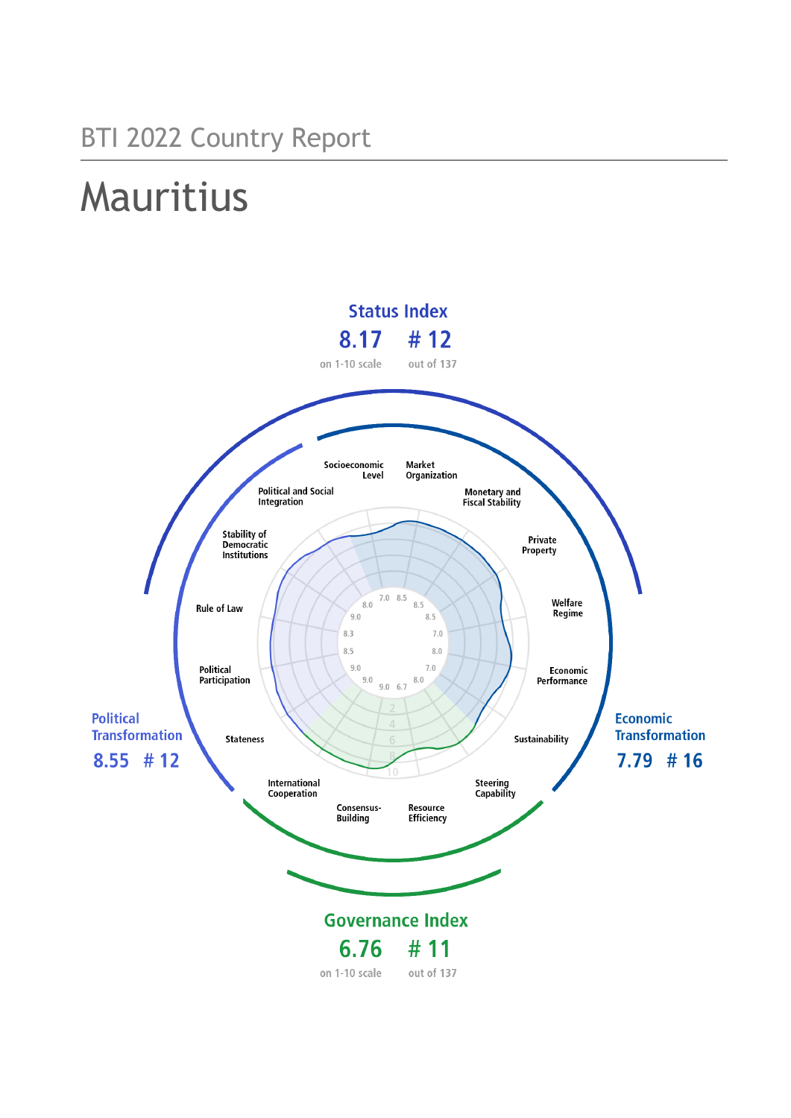# Mauritius

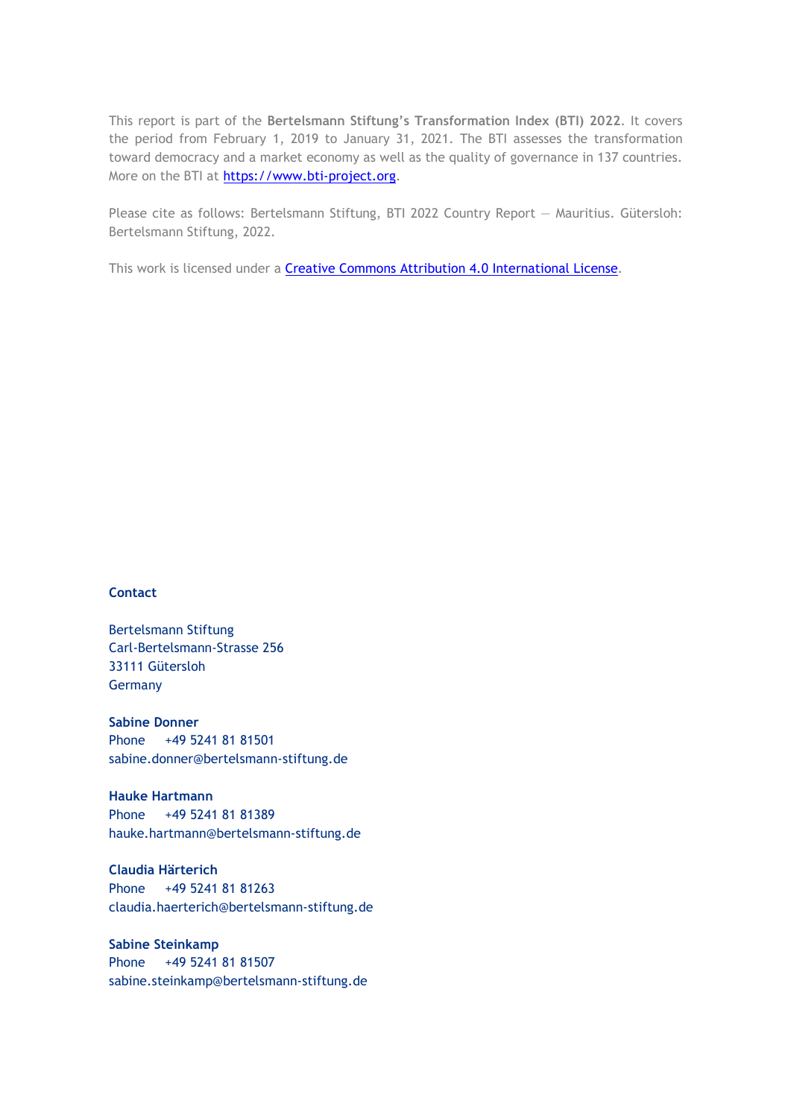This report is part of the **Bertelsmann Stiftung's Transformation Index (BTI) 2022**. It covers the period from February 1, 2019 to January 31, 2021. The BTI assesses the transformation toward democracy and a market economy as well as the quality of governance in 137 countries. More on the BTI at [https://www.bti-project.org.](https://www.bti-project.org/)

Please cite as follows: Bertelsmann Stiftung, BTI 2022 Country Report — Mauritius. Gütersloh: Bertelsmann Stiftung, 2022.

This work is licensed under a **Creative Commons Attribution 4.0 International License**.

#### **Contact**

Bertelsmann Stiftung Carl-Bertelsmann-Strasse 256 33111 Gütersloh Germany

**Sabine Donner** Phone +49 5241 81 81501 sabine.donner@bertelsmann-stiftung.de

**Hauke Hartmann** Phone +49 5241 81 81389 hauke.hartmann@bertelsmann-stiftung.de

**Claudia Härterich** Phone +49 5241 81 81263 claudia.haerterich@bertelsmann-stiftung.de

#### **Sabine Steinkamp** Phone +49 5241 81 81507 sabine.steinkamp@bertelsmann-stiftung.de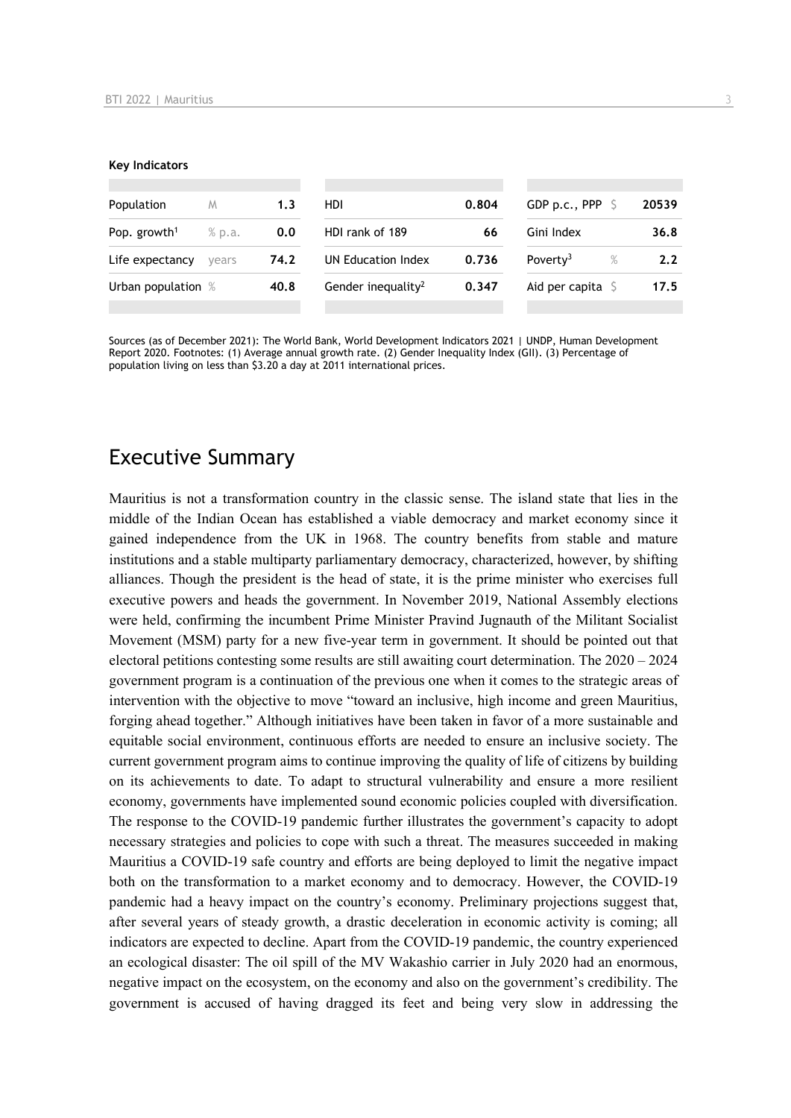#### **Key Indicators**

| Population               | M      | 1.3  | HDI                                 | 0.804 | GDP p.c., PPP                | 20539            |
|--------------------------|--------|------|-------------------------------------|-------|------------------------------|------------------|
| Pop. growth <sup>1</sup> | % p.a. | 0.0  | HDI rank of 189<br>Gini Index<br>66 |       |                              | 36.8             |
| Life expectancy          | vears  | 74.2 | UN Education Index                  | 0.736 | Poverty <sup>3</sup><br>$\%$ | 2.2 <sub>2</sub> |
| Urban population %       |        | 40.8 | Gender inequality <sup>2</sup>      | 0.347 | Aid per capita               | 17.5             |
|                          |        |      |                                     |       |                              |                  |

Sources (as of December 2021): The World Bank, World Development Indicators 2021 | UNDP, Human Development Report 2020. Footnotes: (1) Average annual growth rate. (2) Gender Inequality Index (GII). (3) Percentage of population living on less than \$3.20 a day at 2011 international prices.

## Executive Summary

Mauritius is not a transformation country in the classic sense. The island state that lies in the middle of the Indian Ocean has established a viable democracy and market economy since it gained independence from the UK in 1968. The country benefits from stable and mature institutions and a stable multiparty parliamentary democracy, characterized, however, by shifting alliances. Though the president is the head of state, it is the prime minister who exercises full executive powers and heads the government. In November 2019, National Assembly elections were held, confirming the incumbent Prime Minister Pravind Jugnauth of the Militant Socialist Movement (MSM) party for a new five-year term in government. It should be pointed out that electoral petitions contesting some results are still awaiting court determination. The 2020 – 2024 government program is a continuation of the previous one when it comes to the strategic areas of intervention with the objective to move "toward an inclusive, high income and green Mauritius, forging ahead together." Although initiatives have been taken in favor of a more sustainable and equitable social environment, continuous efforts are needed to ensure an inclusive society. The current government program aims to continue improving the quality of life of citizens by building on its achievements to date. To adapt to structural vulnerability and ensure a more resilient economy, governments have implemented sound economic policies coupled with diversification. The response to the COVID-19 pandemic further illustrates the government's capacity to adopt necessary strategies and policies to cope with such a threat. The measures succeeded in making Mauritius a COVID-19 safe country and efforts are being deployed to limit the negative impact both on the transformation to a market economy and to democracy. However, the COVID-19 pandemic had a heavy impact on the country's economy. Preliminary projections suggest that, after several years of steady growth, a drastic deceleration in economic activity is coming; all indicators are expected to decline. Apart from the COVID-19 pandemic, the country experienced an ecological disaster: The oil spill of the MV Wakashio carrier in July 2020 had an enormous, negative impact on the ecosystem, on the economy and also on the government's credibility. The government is accused of having dragged its feet and being very slow in addressing the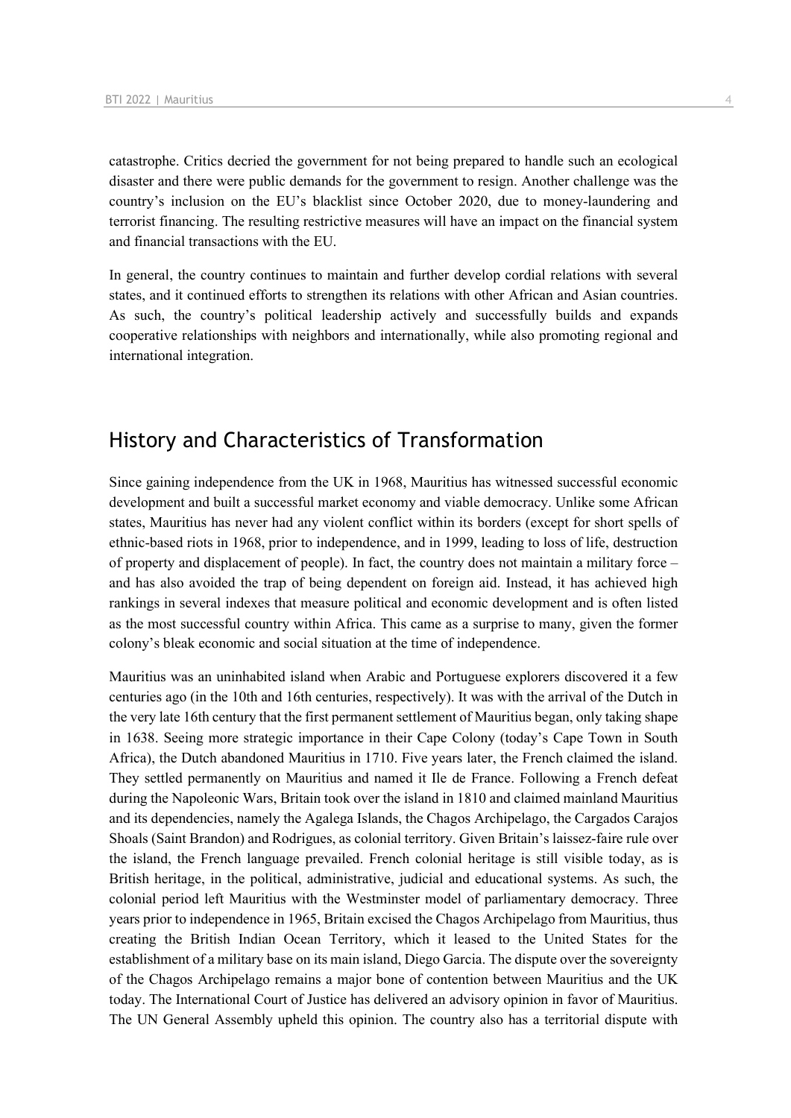catastrophe. Critics decried the government for not being prepared to handle such an ecological disaster and there were public demands for the government to resign. Another challenge was the country's inclusion on the EU's blacklist since October 2020, due to money-laundering and terrorist financing. The resulting restrictive measures will have an impact on the financial system and financial transactions with the EU.

In general, the country continues to maintain and further develop cordial relations with several states, and it continued efforts to strengthen its relations with other African and Asian countries. As such, the country's political leadership actively and successfully builds and expands cooperative relationships with neighbors and internationally, while also promoting regional and international integration.

# History and Characteristics of Transformation

Since gaining independence from the UK in 1968, Mauritius has witnessed successful economic development and built a successful market economy and viable democracy. Unlike some African states, Mauritius has never had any violent conflict within its borders (except for short spells of ethnic-based riots in 1968, prior to independence, and in 1999, leading to loss of life, destruction of property and displacement of people). In fact, the country does not maintain a military force – and has also avoided the trap of being dependent on foreign aid. Instead, it has achieved high rankings in several indexes that measure political and economic development and is often listed as the most successful country within Africa. This came as a surprise to many, given the former colony's bleak economic and social situation at the time of independence.

Mauritius was an uninhabited island when Arabic and Portuguese explorers discovered it a few centuries ago (in the 10th and 16th centuries, respectively). It was with the arrival of the Dutch in the very late 16th century that the first permanent settlement of Mauritius began, only taking shape in 1638. Seeing more strategic importance in their Cape Colony (today's Cape Town in South Africa), the Dutch abandoned Mauritius in 1710. Five years later, the French claimed the island. They settled permanently on Mauritius and named it Ile de France. Following a French defeat during the Napoleonic Wars, Britain took over the island in 1810 and claimed mainland Mauritius and its dependencies, namely the Agalega Islands, the Chagos Archipelago, the Cargados Carajos Shoals (Saint Brandon) and Rodrigues, as colonial territory. Given Britain's laissez-faire rule over the island, the French language prevailed. French colonial heritage is still visible today, as is British heritage, in the political, administrative, judicial and educational systems. As such, the colonial period left Mauritius with the Westminster model of parliamentary democracy. Three years prior to independence in 1965, Britain excised the Chagos Archipelago from Mauritius, thus creating the British Indian Ocean Territory, which it leased to the United States for the establishment of a military base on its main island, Diego Garcia. The dispute over the sovereignty of the Chagos Archipelago remains a major bone of contention between Mauritius and the UK today. The International Court of Justice has delivered an advisory opinion in favor of Mauritius. The UN General Assembly upheld this opinion. The country also has a territorial dispute with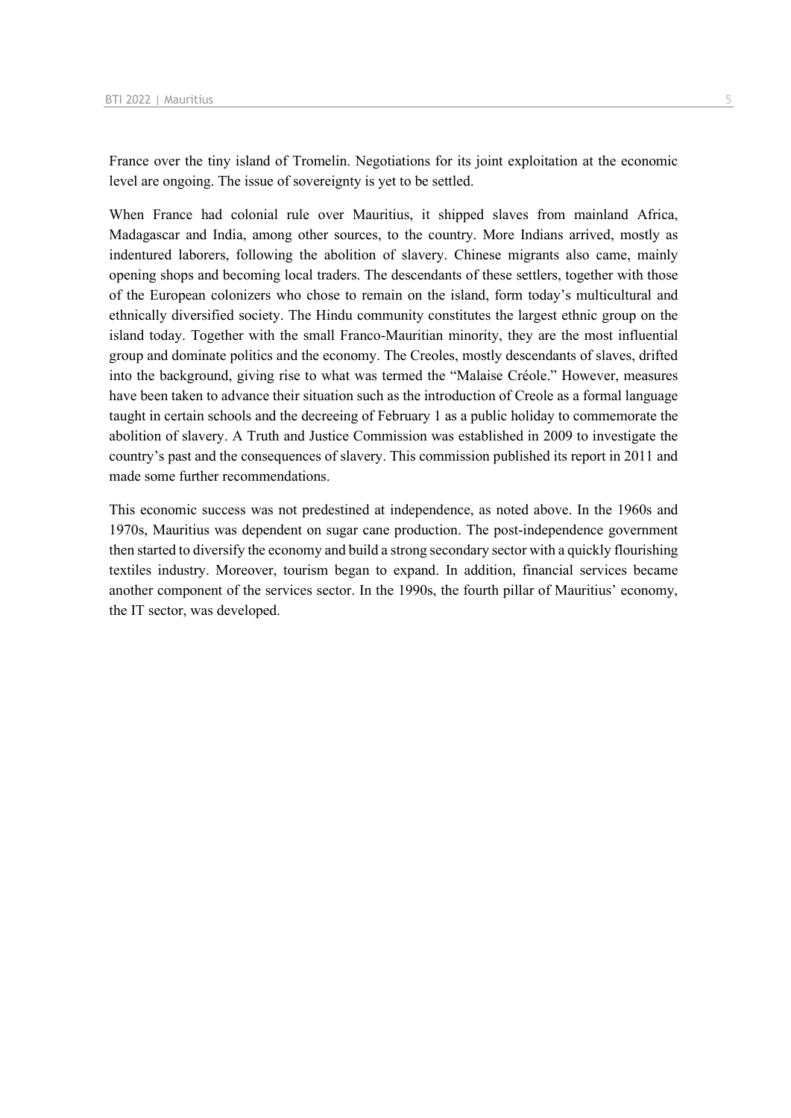France over the tiny island of Tromelin. Negotiations for its joint exploitation at the economic level are ongoing. The issue of sovereignty is yet to be settled.

When France had colonial rule over Mauritius, it shipped slaves from mainland Africa, Madagascar and India, among other sources, to the country. More Indians arrived, mostly as indentured laborers, following the abolition of slavery. Chinese migrants also came, mainly opening shops and becoming local traders. The descendants of these settlers, together with those of the European colonizers who chose to remain on the island, form today's multicultural and ethnically diversified society. The Hindu community constitutes the largest ethnic group on the island today. Together with the small Franco-Mauritian minority, they are the most influential group and dominate politics and the economy. The Creoles, mostly descendants of slaves, drifted into the background, giving rise to what was termed the "Malaise Créole." However, measures have been taken to advance their situation such as the introduction of Creole as a formal language taught in certain schools and the decreeing of February 1 as a public holiday to commemorate the abolition of slavery. A Truth and Justice Commission was established in 2009 to investigate the country's past and the consequences of slavery. This commission published its report in 2011 and made some further recommendations.

This economic success was not predestined at independence, as noted above. In the 1960s and 1970s, Mauritius was dependent on sugar cane production. The post-independence government then started to diversify the economy and build a strong secondary sector with a quickly flourishing textiles industry. Moreover, tourism began to expand. In addition, financial services became another component of the services sector. In the 1990s, the fourth pillar of Mauritius' economy, the IT sector, was developed.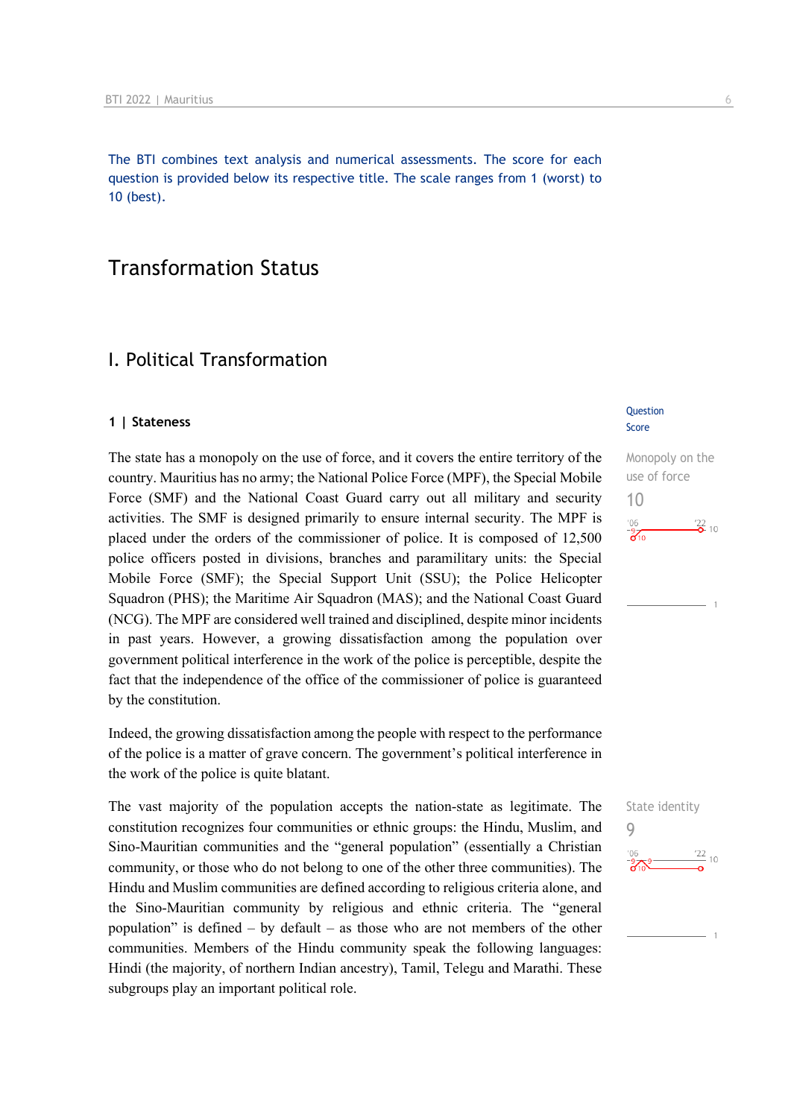The BTI combines text analysis and numerical assessments. The score for each question is provided below its respective title. The scale ranges from 1 (worst) to 10 (best).

# Transformation Status

## I. Political Transformation

#### **1 | Stateness**

The state has a monopoly on the use of force, and it covers the entire territory of the country. Mauritius has no army; the National Police Force (MPF), the Special Mobile Force (SMF) and the National Coast Guard carry out all military and security activities. The SMF is designed primarily to ensure internal security. The MPF is placed under the orders of the commissioner of police. It is composed of 12,500 police officers posted in divisions, branches and paramilitary units: the Special Mobile Force (SMF); the Special Support Unit (SSU); the Police Helicopter Squadron (PHS); the Maritime Air Squadron (MAS); and the National Coast Guard (NCG). The MPF are considered well trained and disciplined, despite minor incidents in past years. However, a growing dissatisfaction among the population over government political interference in the work of the police is perceptible, despite the fact that the independence of the office of the commissioner of police is guaranteed by the constitution.

Indeed, the growing dissatisfaction among the people with respect to the performance of the police is a matter of grave concern. The government's political interference in the work of the police is quite blatant.

The vast majority of the population accepts the nation-state as legitimate. The constitution recognizes four communities or ethnic groups: the Hindu, Muslim, and Sino-Mauritian communities and the "general population" (essentially a Christian community, or those who do not belong to one of the other three communities). The Hindu and Muslim communities are defined according to religious criteria alone, and the Sino-Mauritian community by religious and ethnic criteria. The "general population" is defined – by default – as those who are not members of the other communities. Members of the Hindu community speak the following languages: Hindi (the majority, of northern Indian ancestry), Tamil, Telegu and Marathi. These subgroups play an important political role.

#### **Question** Score

Monopoly on the use of force 10  $\frac{22}{2}$  10  $\frac{9}{6}$ 

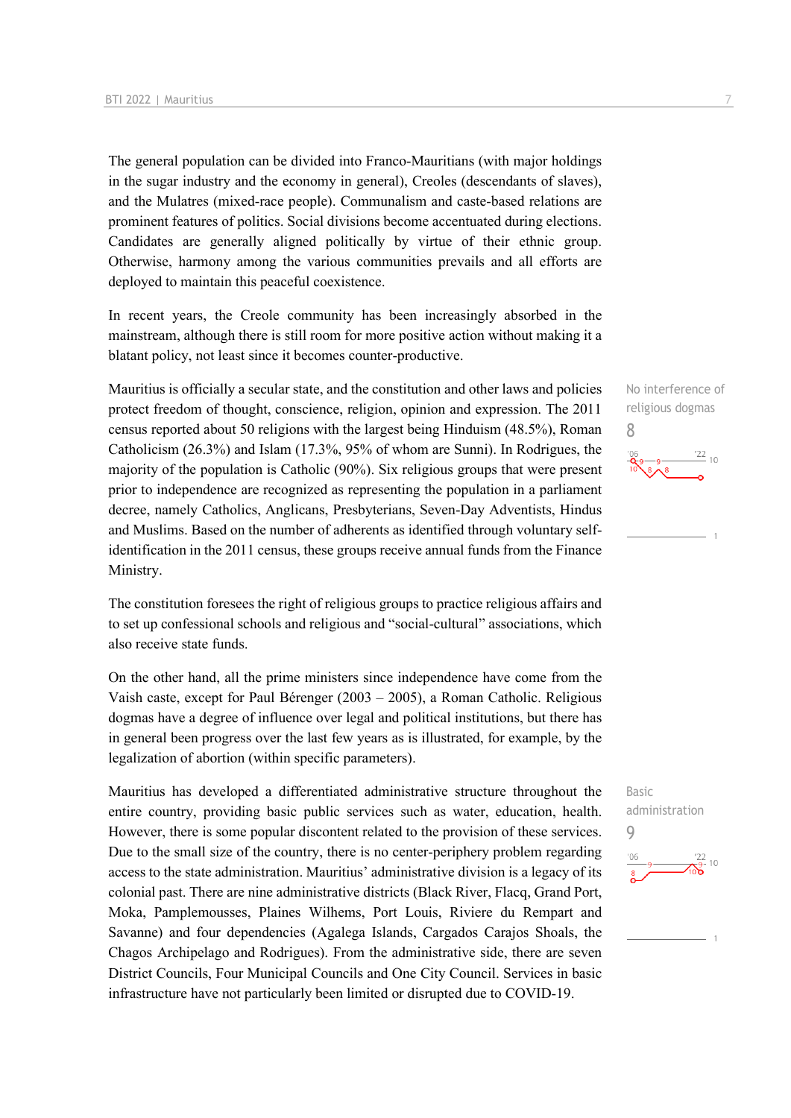The general population can be divided into Franco-Mauritians (with major holdings in the sugar industry and the economy in general), Creoles (descendants of slaves), and the Mulatres (mixed-race people). Communalism and caste-based relations are prominent features of politics. Social divisions become accentuated during elections. Candidates are generally aligned politically by virtue of their ethnic group. Otherwise, harmony among the various communities prevails and all efforts are deployed to maintain this peaceful coexistence.

In recent years, the Creole community has been increasingly absorbed in the mainstream, although there is still room for more positive action without making it a blatant policy, not least since it becomes counter-productive.

Mauritius is officially a secular state, and the constitution and other laws and policies protect freedom of thought, conscience, religion, opinion and expression. The 2011 census reported about 50 religions with the largest being Hinduism (48.5%), Roman Catholicism (26.3%) and Islam (17.3%, 95% of whom are Sunni). In Rodrigues, the majority of the population is Catholic (90%). Six religious groups that were present prior to independence are recognized as representing the population in a parliament decree, namely Catholics, Anglicans, Presbyterians, Seven-Day Adventists, Hindus and Muslims. Based on the number of adherents as identified through voluntary selfidentification in the 2011 census, these groups receive annual funds from the Finance Ministry.

The constitution foresees the right of religious groups to practice religious affairs and to set up confessional schools and religious and "social-cultural" associations, which also receive state funds.

On the other hand, all the prime ministers since independence have come from the Vaish caste, except for Paul Bérenger (2003 – 2005), a Roman Catholic. Religious dogmas have a degree of influence over legal and political institutions, but there has in general been progress over the last few years as is illustrated, for example, by the legalization of abortion (within specific parameters).

Mauritius has developed a differentiated administrative structure throughout the entire country, providing basic public services such as water, education, health. However, there is some popular discontent related to the provision of these services. Due to the small size of the country, there is no center-periphery problem regarding access to the state administration. Mauritius' administrative division is a legacy of its colonial past. There are nine administrative districts (Black River, Flacq, Grand Port, Moka, Pamplemousses, Plaines Wilhems, Port Louis, Riviere du Rempart and Savanne) and four dependencies (Agalega Islands, Cargados Carajos Shoals, the Chagos Archipelago and Rodrigues). From the administrative side, there are seven District Councils, Four Municipal Councils and One City Council. Services in basic infrastructure have not particularly been limited or disrupted due to COVID-19.



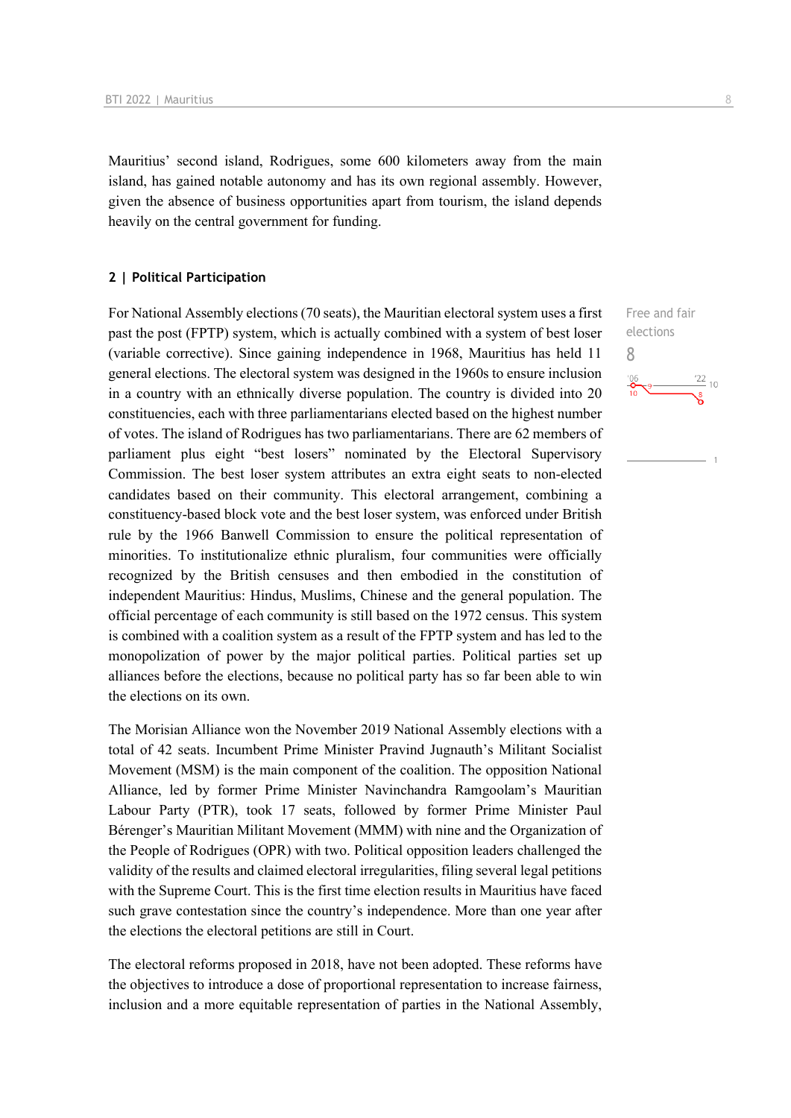Mauritius' second island, Rodrigues, some 600 kilometers away from the main island, has gained notable autonomy and has its own regional assembly. However, given the absence of business opportunities apart from tourism, the island depends heavily on the central government for funding.

#### **2 | Political Participation**

For National Assembly elections (70 seats), the Mauritian electoral system uses a first past the post (FPTP) system, which is actually combined with a system of best loser (variable corrective). Since gaining independence in 1968, Mauritius has held 11 general elections. The electoral system was designed in the 1960s to ensure inclusion in a country with an ethnically diverse population. The country is divided into 20 constituencies, each with three parliamentarians elected based on the highest number of votes. The island of Rodrigues has two parliamentarians. There are 62 members of parliament plus eight "best losers" nominated by the Electoral Supervisory Commission. The best loser system attributes an extra eight seats to non-elected candidates based on their community. This electoral arrangement, combining a constituency-based block vote and the best loser system, was enforced under British rule by the 1966 Banwell Commission to ensure the political representation of minorities. To institutionalize ethnic pluralism, four communities were officially recognized by the British censuses and then embodied in the constitution of independent Mauritius: Hindus, Muslims, Chinese and the general population. The official percentage of each community is still based on the 1972 census. This system is combined with a coalition system as a result of the FPTP system and has led to the monopolization of power by the major political parties. Political parties set up alliances before the elections, because no political party has so far been able to win the elections on its own.

The Morisian Alliance won the November 2019 National Assembly elections with a total of 42 seats. Incumbent Prime Minister Pravind Jugnauth's Militant Socialist Movement (MSM) is the main component of the coalition. The opposition National Alliance, led by former Prime Minister Navinchandra Ramgoolam's Mauritian Labour Party (PTR), took 17 seats, followed by former Prime Minister Paul Bérenger's Mauritian Militant Movement (MMM) with nine and the Organization of the People of Rodrigues (OPR) with two. Political opposition leaders challenged the validity of the results and claimed electoral irregularities, filing several legal petitions with the Supreme Court. This is the first time election results in Mauritius have faced such grave contestation since the country's independence. More than one year after the elections the electoral petitions are still in Court.

The electoral reforms proposed in 2018, have not been adopted. These reforms have the objectives to introduce a dose of proportional representation to increase fairness, inclusion and a more equitable representation of parties in the National Assembly, Free and fair elections

 $\frac{22}{10}$ 

8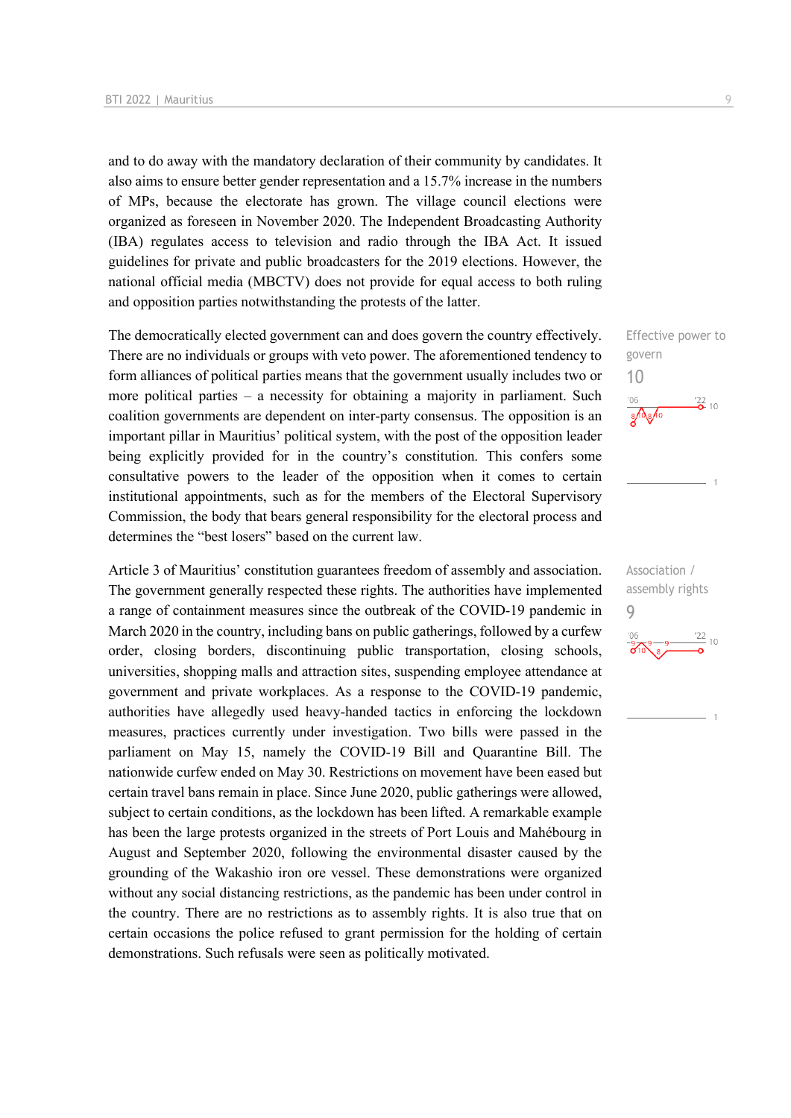and to do away with the mandatory declaration of their community by candidates. It also aims to ensure better gender representation and a 15.7% increase in the numbers of MPs, because the electorate has grown. The village council elections were organized as foreseen in November 2020. The Independent Broadcasting Authority (IBA) regulates access to television and radio through the IBA Act. It issued guidelines for private and public broadcasters for the 2019 elections. However, the national official media (MBCTV) does not provide for equal access to both ruling and opposition parties notwithstanding the protests of the latter.

The democratically elected government can and does govern the country effectively. There are no individuals or groups with veto power. The aforementioned tendency to form alliances of political parties means that the government usually includes two or more political parties – a necessity for obtaining a majority in parliament. Such coalition governments are dependent on inter-party consensus. The opposition is an important pillar in Mauritius' political system, with the post of the opposition leader being explicitly provided for in the country's constitution. This confers some consultative powers to the leader of the opposition when it comes to certain institutional appointments, such as for the members of the Electoral Supervisory Commission, the body that bears general responsibility for the electoral process and determines the "best losers" based on the current law.

Article 3 of Mauritius' constitution guarantees freedom of assembly and association. The government generally respected these rights. The authorities have implemented a range of containment measures since the outbreak of the COVID-19 pandemic in March 2020 in the country, including bans on public gatherings, followed by a curfew order, closing borders, discontinuing public transportation, closing schools, universities, shopping malls and attraction sites, suspending employee attendance at government and private workplaces. As a response to the COVID-19 pandemic, authorities have allegedly used heavy-handed tactics in enforcing the lockdown measures, practices currently under investigation. Two bills were passed in the parliament on May 15, namely the COVID-19 Bill and Quarantine Bill. The nationwide curfew ended on May 30. Restrictions on movement have been eased but certain travel bans remain in place. Since June 2020, public gatherings were allowed, subject to certain conditions, as the lockdown has been lifted. A remarkable example has been the large protests organized in the streets of Port Louis and Mahébourg in August and September 2020, following the environmental disaster caused by the grounding of the Wakashio iron ore vessel. These demonstrations were organized without any social distancing restrictions, as the pandemic has been under control in the country. There are no restrictions as to assembly rights. It is also true that on certain occasions the police refused to grant permission for the holding of certain demonstrations. Such refusals were seen as politically motivated.

Effective power to govern 10  $\frac{22}{2}$  10  $3\sqrt{8}$ 

Association / assembly rights 9 $\frac{22}{10}$  $'06$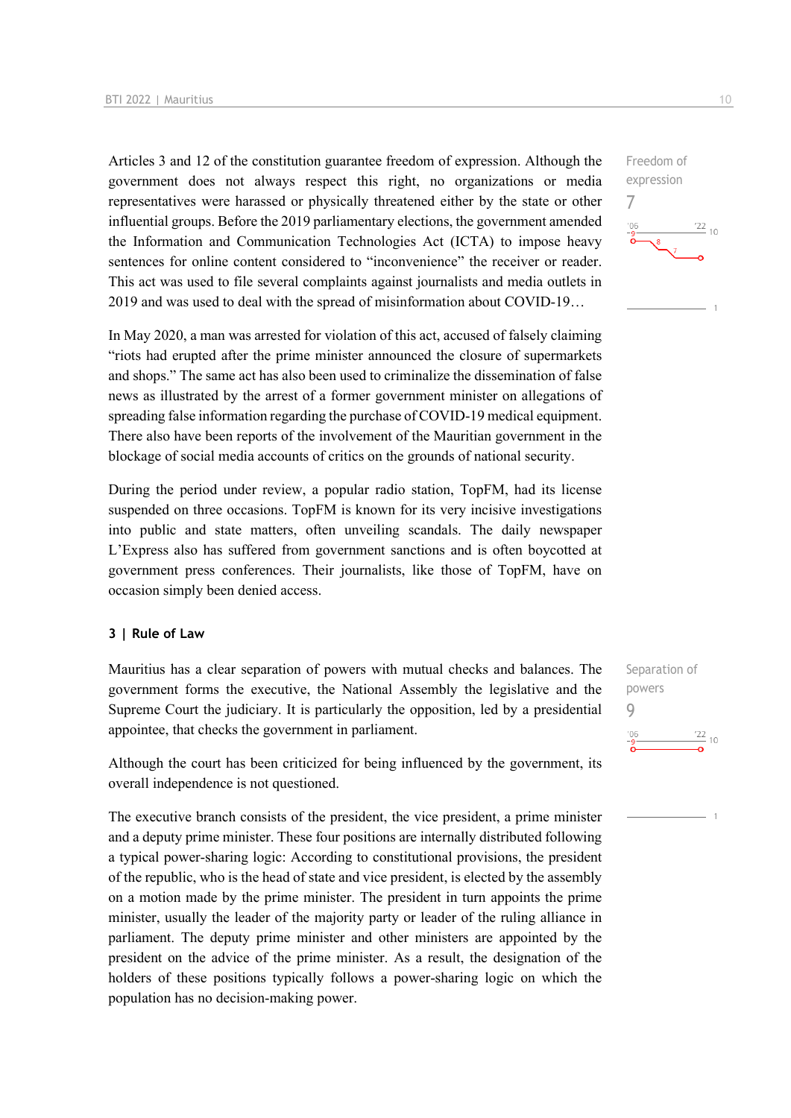Articles 3 and 12 of the constitution guarantee freedom of expression. Although the government does not always respect this right, no organizations or media representatives were harassed or physically threatened either by the state or other influential groups. Before the 2019 parliamentary elections, the government amended the Information and Communication Technologies Act (ICTA) to impose heavy sentences for online content considered to "inconvenience" the receiver or reader. This act was used to file several complaints against journalists and media outlets in 2019 and was used to deal with the spread of misinformation about COVID-19…

In May 2020, a man was arrested for violation of this act, accused of falsely claiming "riots had erupted after the prime minister announced the closure of supermarkets and shops." The same act has also been used to criminalize the dissemination of false news as illustrated by the arrest of a former government minister on allegations of spreading false information regarding the purchase of COVID-19 medical equipment. There also have been reports of the involvement of the Mauritian government in the blockage of social media accounts of critics on the grounds of national security.

During the period under review, a popular radio station, TopFM, had its license suspended on three occasions. TopFM is known for its very incisive investigations into public and state matters, often unveiling scandals. The daily newspaper L'Express also has suffered from government sanctions and is often boycotted at government press conferences. Their journalists, like those of TopFM, have on occasion simply been denied access.

#### **3 | Rule of Law**

Mauritius has a clear separation of powers with mutual checks and balances. The government forms the executive, the National Assembly the legislative and the Supreme Court the judiciary. It is particularly the opposition, led by a presidential appointee, that checks the government in parliament.

Although the court has been criticized for being influenced by the government, its overall independence is not questioned.

The executive branch consists of the president, the vice president, a prime minister and a deputy prime minister. These four positions are internally distributed following a typical power-sharing logic: According to constitutional provisions, the president of the republic, who is the head of state and vice president, is elected by the assembly on a motion made by the prime minister. The president in turn appoints the prime minister, usually the leader of the majority party or leader of the ruling alliance in parliament. The deputy prime minister and other ministers are appointed by the president on the advice of the prime minister. As a result, the designation of the holders of these positions typically follows a power-sharing logic on which the population has no decision-making power.



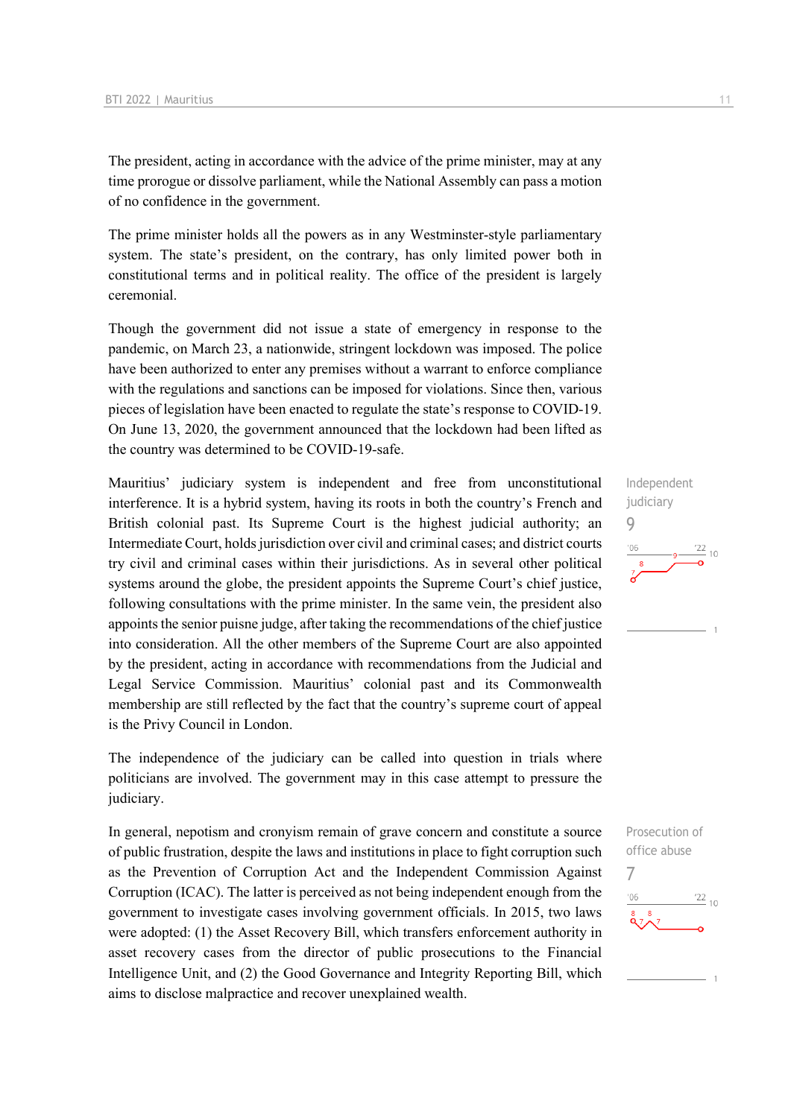The president, acting in accordance with the advice of the prime minister, may at any time prorogue or dissolve parliament, while the National Assembly can pass a motion of no confidence in the government.

The prime minister holds all the powers as in any Westminster-style parliamentary system. The state's president, on the contrary, has only limited power both in constitutional terms and in political reality. The office of the president is largely ceremonial.

Though the government did not issue a state of emergency in response to the pandemic, on March 23, a nationwide, stringent lockdown was imposed. The police have been authorized to enter any premises without a warrant to enforce compliance with the regulations and sanctions can be imposed for violations. Since then, various pieces of legislation have been enacted to regulate the state's response to COVID-19. On June 13, 2020, the government announced that the lockdown had been lifted as the country was determined to be COVID-19-safe.

Mauritius' judiciary system is independent and free from unconstitutional interference. It is a hybrid system, having its roots in both the country's French and British colonial past. Its Supreme Court is the highest judicial authority; an Intermediate Court, holds jurisdiction over civil and criminal cases; and district courts try civil and criminal cases within their jurisdictions. As in several other political systems around the globe, the president appoints the Supreme Court's chief justice, following consultations with the prime minister. In the same vein, the president also appoints the senior puisne judge, after taking the recommendations of the chief justice into consideration. All the other members of the Supreme Court are also appointed by the president, acting in accordance with recommendations from the Judicial and Legal Service Commission. Mauritius' colonial past and its Commonwealth membership are still reflected by the fact that the country's supreme court of appeal is the Privy Council in London.

The independence of the judiciary can be called into question in trials where politicians are involved. The government may in this case attempt to pressure the judiciary.

In general, nepotism and cronyism remain of grave concern and constitute a source of public frustration, despite the laws and institutions in place to fight corruption such as the Prevention of Corruption Act and the Independent Commission Against Corruption (ICAC). The latter is perceived as not being independent enough from the government to investigate cases involving government officials. In 2015, two laws were adopted: (1) the Asset Recovery Bill, which transfers enforcement authority in asset recovery cases from the director of public prosecutions to the Financial Intelligence Unit, and (2) the Good Governance and Integrity Reporting Bill, which aims to disclose malpractice and recover unexplained wealth.



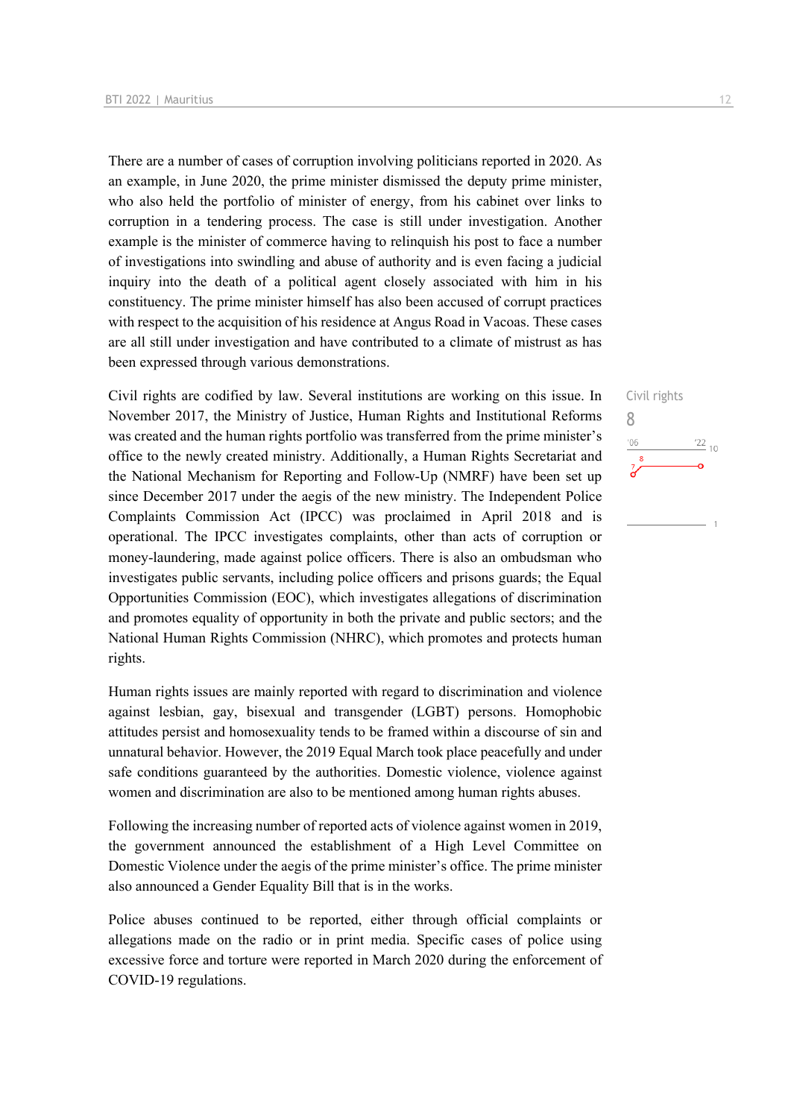There are a number of cases of corruption involving politicians reported in 2020. As an example, in June 2020, the prime minister dismissed the deputy prime minister, who also held the portfolio of minister of energy, from his cabinet over links to corruption in a tendering process. The case is still under investigation. Another example is the minister of commerce having to relinquish his post to face a number of investigations into swindling and abuse of authority and is even facing a judicial inquiry into the death of a political agent closely associated with him in his constituency. The prime minister himself has also been accused of corrupt practices with respect to the acquisition of his residence at Angus Road in Vacoas. These cases are all still under investigation and have contributed to a climate of mistrust as has been expressed through various demonstrations.

Civil rights are codified by law. Several institutions are working on this issue. In November 2017, the Ministry of Justice, Human Rights and Institutional Reforms was created and the human rights portfolio was transferred from the prime minister's office to the newly created ministry. Additionally, a Human Rights Secretariat and the National Mechanism for Reporting and Follow-Up (NMRF) have been set up since December 2017 under the aegis of the new ministry. The Independent Police Complaints Commission Act (IPCC) was proclaimed in April 2018 and is operational. The IPCC investigates complaints, other than acts of corruption or money-laundering, made against police officers. There is also an ombudsman who investigates public servants, including police officers and prisons guards; the Equal Opportunities Commission (EOC), which investigates allegations of discrimination and promotes equality of opportunity in both the private and public sectors; and the National Human Rights Commission (NHRC), which promotes and protects human rights.

Human rights issues are mainly reported with regard to discrimination and violence against lesbian, gay, bisexual and transgender (LGBT) persons. Homophobic attitudes persist and homosexuality tends to be framed within a discourse of sin and unnatural behavior. However, the 2019 Equal March took place peacefully and under safe conditions guaranteed by the authorities. Domestic violence, violence against women and discrimination are also to be mentioned among human rights abuses.

Following the increasing number of reported acts of violence against women in 2019, the government announced the establishment of a High Level Committee on Domestic Violence under the aegis of the prime minister's office. The prime minister also announced a Gender Equality Bill that is in the works.

Police abuses continued to be reported, either through official complaints or allegations made on the radio or in print media. Specific cases of police using excessive force and torture were reported in March 2020 during the enforcement of COVID-19 regulations.

Civil rights

 $\frac{22}{10}$ 

8

 $^{\prime}06$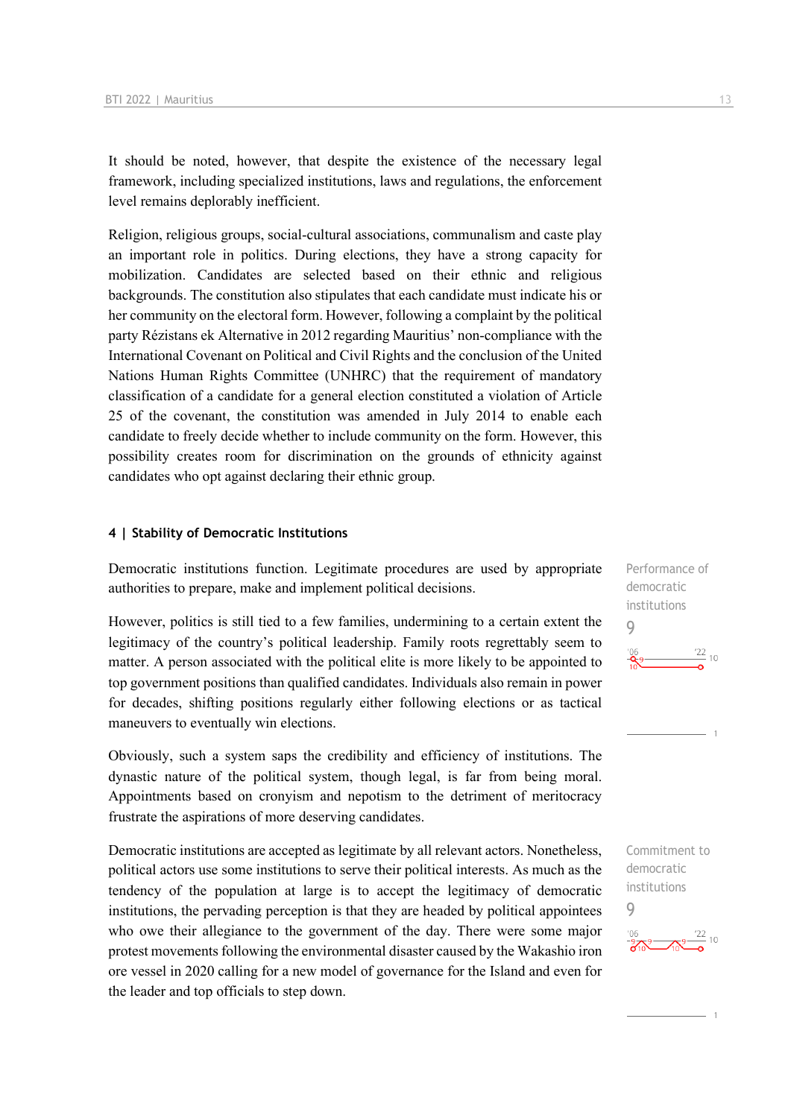It should be noted, however, that despite the existence of the necessary legal framework, including specialized institutions, laws and regulations, the enforcement level remains deplorably inefficient.

Religion, religious groups, social-cultural associations, communalism and caste play an important role in politics. During elections, they have a strong capacity for mobilization. Candidates are selected based on their ethnic and religious backgrounds. The constitution also stipulates that each candidate must indicate his or her community on the electoral form. However, following a complaint by the political party Rézistans ek Alternative in 2012 regarding Mauritius' non-compliance with the International Covenant on Political and Civil Rights and the conclusion of the United Nations Human Rights Committee (UNHRC) that the requirement of mandatory classification of a candidate for a general election constituted a violation of Article 25 of the covenant, the constitution was amended in July 2014 to enable each candidate to freely decide whether to include community on the form. However, this possibility creates room for discrimination on the grounds of ethnicity against candidates who opt against declaring their ethnic group.

#### **4 | Stability of Democratic Institutions**

Democratic institutions function. Legitimate procedures are used by appropriate authorities to prepare, make and implement political decisions.

However, politics is still tied to a few families, undermining to a certain extent the legitimacy of the country's political leadership. Family roots regrettably seem to matter. A person associated with the political elite is more likely to be appointed to top government positions than qualified candidates. Individuals also remain in power for decades, shifting positions regularly either following elections or as tactical maneuvers to eventually win elections.

Obviously, such a system saps the credibility and efficiency of institutions. The dynastic nature of the political system, though legal, is far from being moral. Appointments based on cronyism and nepotism to the detriment of meritocracy frustrate the aspirations of more deserving candidates.

Democratic institutions are accepted as legitimate by all relevant actors. Nonetheless, political actors use some institutions to serve their political interests. As much as the tendency of the population at large is to accept the legitimacy of democratic institutions, the pervading perception is that they are headed by political appointees who owe their allegiance to the government of the day. There were some major protest movements following the environmental disaster caused by the Wakashio iron ore vessel in 2020 calling for a new model of governance for the Island and even for the leader and top officials to step down.

Performance of democratic institutions  $\overline{Q}$  $\frac{22}{10}$ 

Commitment to democratic institutions

9

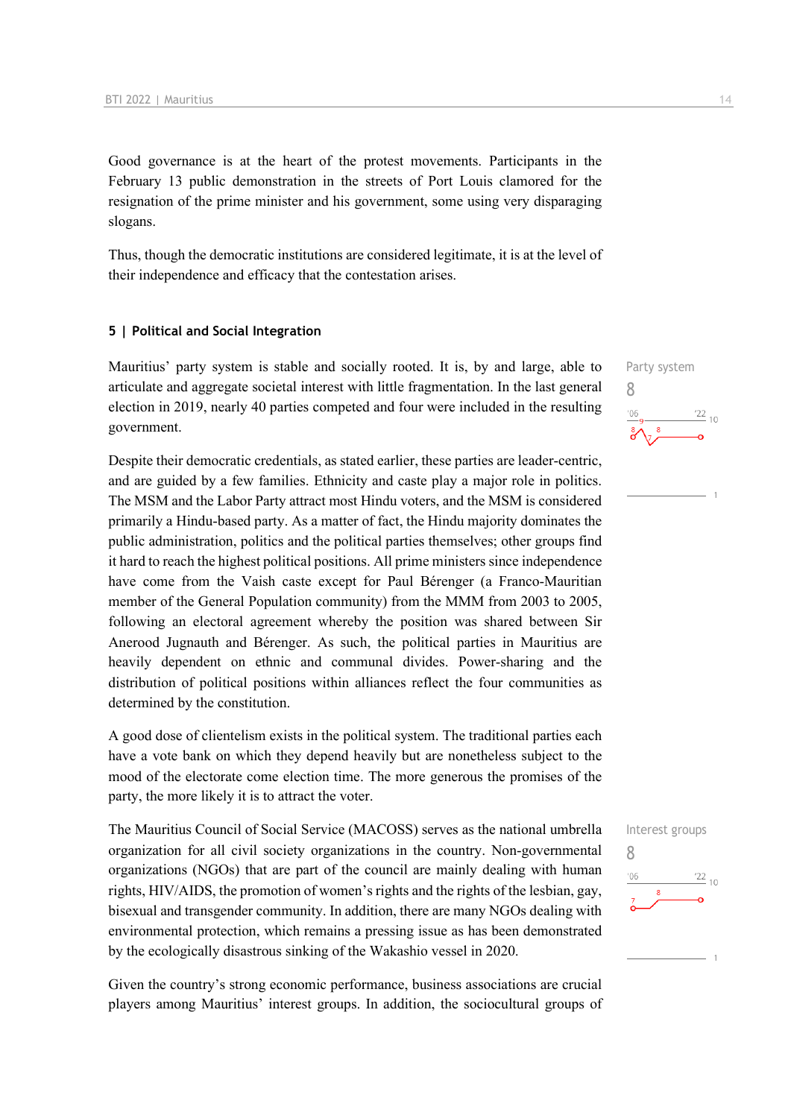Good governance is at the heart of the protest movements. Participants in the February 13 public demonstration in the streets of Port Louis clamored for the resignation of the prime minister and his government, some using very disparaging slogans.

Thus, though the democratic institutions are considered legitimate, it is at the level of their independence and efficacy that the contestation arises.

#### **5 | Political and Social Integration**

Mauritius' party system is stable and socially rooted. It is, by and large, able to articulate and aggregate societal interest with little fragmentation. In the last general election in 2019, nearly 40 parties competed and four were included in the resulting government.

Despite their democratic credentials, as stated earlier, these parties are leader-centric, and are guided by a few families. Ethnicity and caste play a major role in politics. The MSM and the Labor Party attract most Hindu voters, and the MSM is considered primarily a Hindu-based party. As a matter of fact, the Hindu majority dominates the public administration, politics and the political parties themselves; other groups find it hard to reach the highest political positions. All prime ministers since independence have come from the Vaish caste except for Paul Bérenger (a Franco-Mauritian member of the General Population community) from the MMM from 2003 to 2005, following an electoral agreement whereby the position was shared between Sir Anerood Jugnauth and Bérenger. As such, the political parties in Mauritius are heavily dependent on ethnic and communal divides. Power-sharing and the distribution of political positions within alliances reflect the four communities as determined by the constitution.

A good dose of clientelism exists in the political system. The traditional parties each have a vote bank on which they depend heavily but are nonetheless subject to the mood of the electorate come election time. The more generous the promises of the party, the more likely it is to attract the voter.

The Mauritius Council of Social Service (MACOSS) serves as the national umbrella organization for all civil society organizations in the country. Non-governmental organizations (NGOs) that are part of the council are mainly dealing with human rights, HIV/AIDS, the promotion of women's rights and the rights of the lesbian, gay, bisexual and transgender community. In addition, there are many NGOs dealing with environmental protection, which remains a pressing issue as has been demonstrated by the ecologically disastrous sinking of the Wakashio vessel in 2020.

Given the country's strong economic performance, business associations are crucial players among Mauritius' interest groups. In addition, the sociocultural groups of Party system 8  $\frac{22}{10}$ 

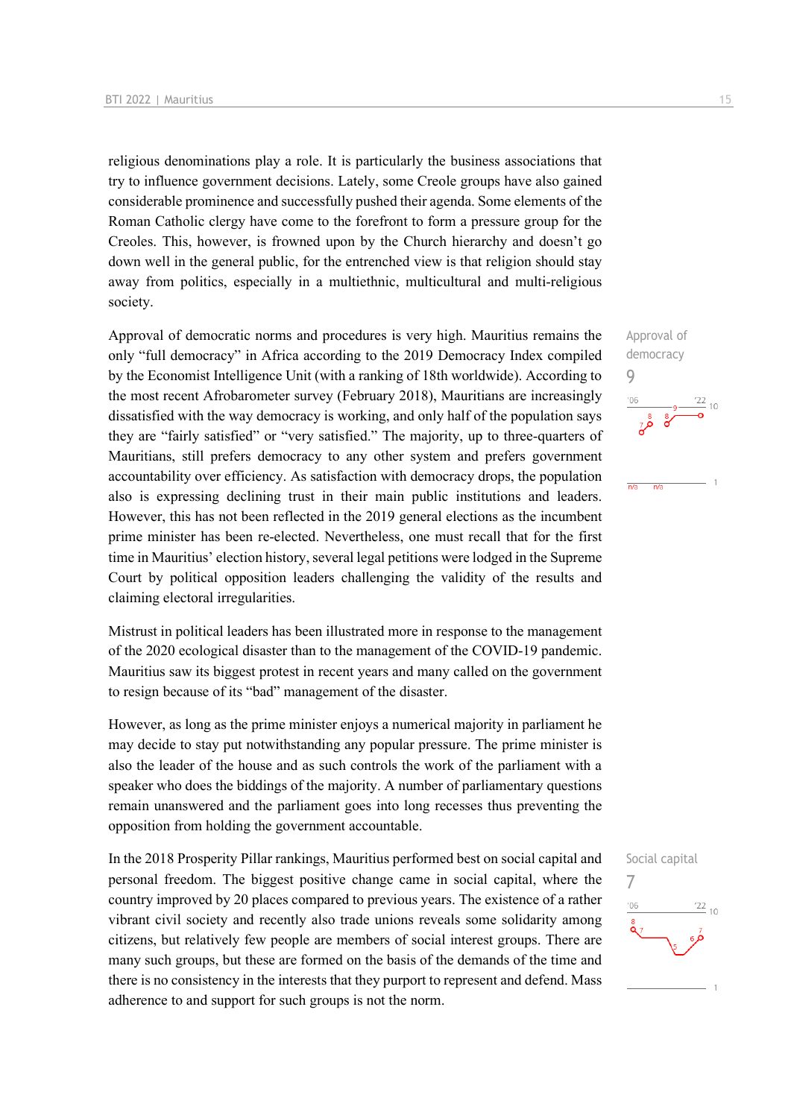religious denominations play a role. It is particularly the business associations that try to influence government decisions. Lately, some Creole groups have also gained considerable prominence and successfully pushed their agenda. Some elements of the Roman Catholic clergy have come to the forefront to form a pressure group for the Creoles. This, however, is frowned upon by the Church hierarchy and doesn't go down well in the general public, for the entrenched view is that religion should stay away from politics, especially in a multiethnic, multicultural and multi-religious society.

Approval of democratic norms and procedures is very high. Mauritius remains the only "full democracy" in Africa according to the 2019 Democracy Index compiled by the Economist Intelligence Unit (with a ranking of 18th worldwide). According to the most recent Afrobarometer survey (February 2018), Mauritians are increasingly dissatisfied with the way democracy is working, and only half of the population says they are "fairly satisfied" or "very satisfied." The majority, up to three-quarters of Mauritians, still prefers democracy to any other system and prefers government accountability over efficiency. As satisfaction with democracy drops, the population also is expressing declining trust in their main public institutions and leaders. However, this has not been reflected in the 2019 general elections as the incumbent prime minister has been re-elected. Nevertheless, one must recall that for the first time in Mauritius' election history, several legal petitions were lodged in the Supreme Court by political opposition leaders challenging the validity of the results and claiming electoral irregularities.

Mistrust in political leaders has been illustrated more in response to the management of the 2020 ecological disaster than to the management of the COVID-19 pandemic. Mauritius saw its biggest protest in recent years and many called on the government to resign because of its "bad" management of the disaster.

However, as long as the prime minister enjoys a numerical majority in parliament he may decide to stay put notwithstanding any popular pressure. The prime minister is also the leader of the house and as such controls the work of the parliament with a speaker who does the biddings of the majority. A number of parliamentary questions remain unanswered and the parliament goes into long recesses thus preventing the opposition from holding the government accountable.

In the 2018 Prosperity Pillar rankings, Mauritius performed best on social capital and personal freedom. The biggest positive change came in social capital, where the country improved by 20 places compared to previous years. The existence of a rather vibrant civil society and recently also trade unions reveals some solidarity among citizens, but relatively few people are members of social interest groups. There are many such groups, but these are formed on the basis of the demands of the time and there is no consistency in the interests that they purport to represent and defend. Mass adherence to and support for such groups is not the norm.

Approval of democracy

 $\frac{1}{n/2}$ 

Social capital

 $\frac{22}{10}$ 

7

 $-06$ 

9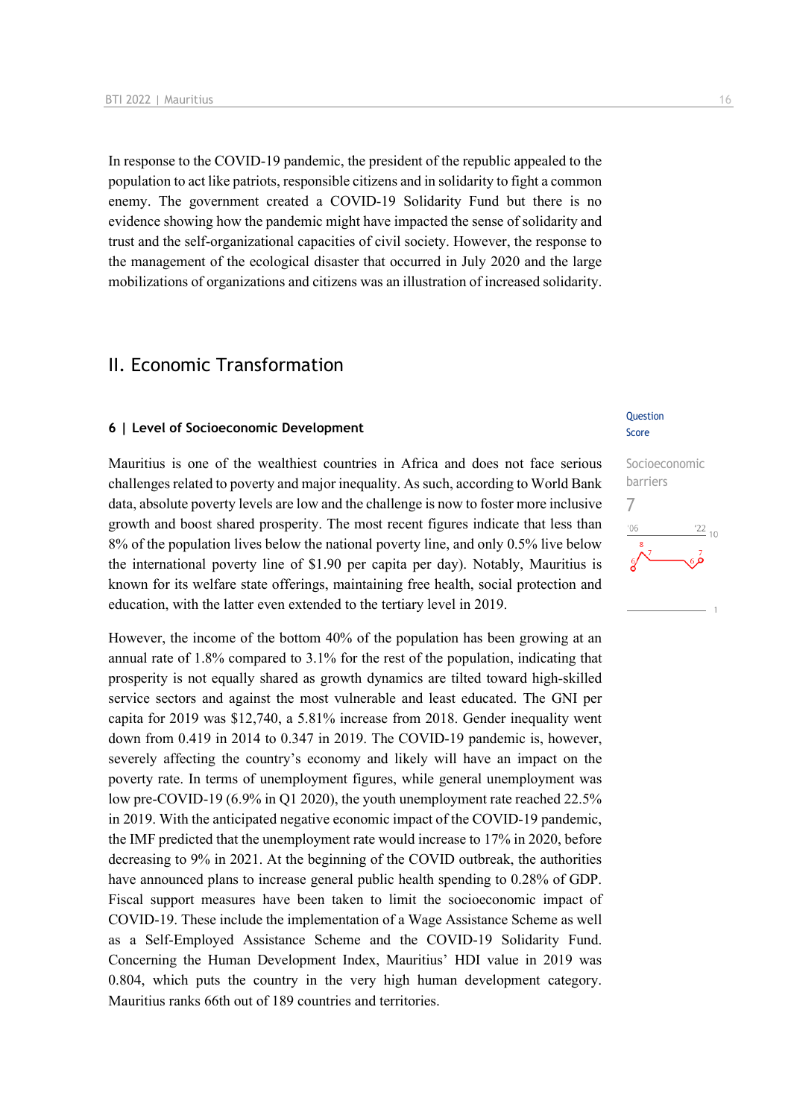In response to the COVID-19 pandemic, the president of the republic appealed to the population to act like patriots, responsible citizens and in solidarity to fight a common enemy. The government created a COVID-19 Solidarity Fund but there is no evidence showing how the pandemic might have impacted the sense of solidarity and trust and the self-organizational capacities of civil society. However, the response to the management of the ecological disaster that occurred in July 2020 and the large mobilizations of organizations and citizens was an illustration of increased solidarity.

## II. Economic Transformation

#### **6 | Level of Socioeconomic Development**

Mauritius is one of the wealthiest countries in Africa and does not face serious challenges related to poverty and major inequality. As such, according to World Bank data, absolute poverty levels are low and the challenge is now to foster more inclusive growth and boost shared prosperity. The most recent figures indicate that less than 8% of the population lives below the national poverty line, and only 0.5% live below the international poverty line of \$1.90 per capita per day). Notably, Mauritius is known for its welfare state offerings, maintaining free health, social protection and education, with the latter even extended to the tertiary level in 2019.

However, the income of the bottom 40% of the population has been growing at an annual rate of 1.8% compared to 3.1% for the rest of the population, indicating that prosperity is not equally shared as growth dynamics are tilted toward high-skilled service sectors and against the most vulnerable and least educated. The GNI per capita for 2019 was \$12,740, a 5.81% increase from 2018. Gender inequality went down from 0.419 in 2014 to 0.347 in 2019. The COVID-19 pandemic is, however, severely affecting the country's economy and likely will have an impact on the poverty rate. In terms of unemployment figures, while general unemployment was low pre-COVID-19 (6.9% in Q1 2020), the youth unemployment rate reached 22.5% in 2019. With the anticipated negative economic impact of the COVID-19 pandemic, the IMF predicted that the unemployment rate would increase to 17% in 2020, before decreasing to 9% in 2021. At the beginning of the COVID outbreak, the authorities have announced plans to increase general public health spending to 0.28% of GDP. Fiscal support measures have been taken to limit the socioeconomic impact of COVID-19. These include the implementation of a Wage Assistance Scheme as well as a Self-Employed Assistance Scheme and the COVID-19 Solidarity Fund. Concerning the Human Development Index, Mauritius' HDI value in 2019 was 0.804, which puts the country in the very high human development category. Mauritius ranks 66th out of 189 countries and territories.

#### **Ouestion** Score

Socioeconomic barriers 7 $n<sub>f</sub>$  $\frac{22}{10}$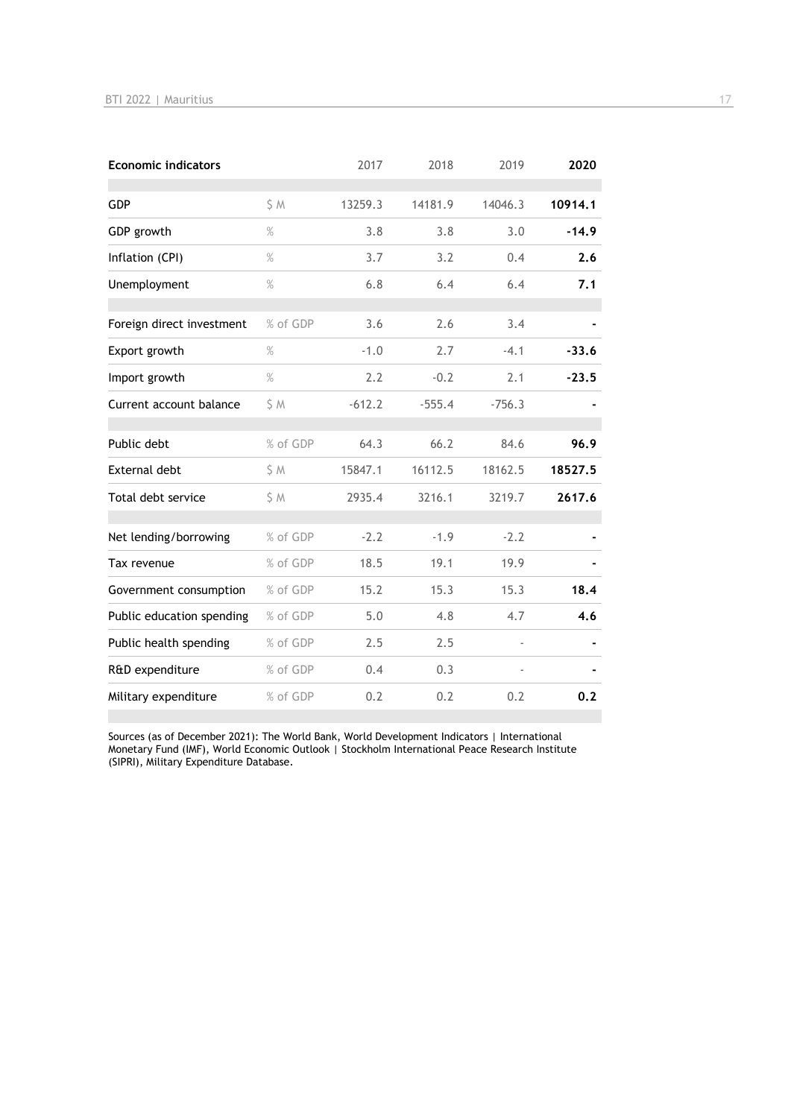| <b>Economic indicators</b> |               | 2017     | 2018     | 2019     | 2020    |
|----------------------------|---------------|----------|----------|----------|---------|
| <b>GDP</b>                 | S M           | 13259.3  | 14181.9  | 14046.3  | 10914.1 |
| GDP growth                 | $\frac{9}{6}$ | 3.8      | 3.8      | 3.0      | $-14.9$ |
| Inflation (CPI)            | $\%$          | 3.7      | 3.2      | 0.4      | 2.6     |
| Unemployment               | $\%$          | 6.8      | 6.4      | 6.4      | 7.1     |
| Foreign direct investment  | % of GDP      | 3.6      | 2.6      | 3.4      |         |
| Export growth              | $\%$          | $-1.0$   | 2.7      | $-4.1$   | $-33.6$ |
| Import growth              | $\%$          | 2.2      | $-0.2$   | 2.1      | $-23.5$ |
| Current account balance    | \$ M          | $-612.2$ | $-555.4$ | $-756.3$ |         |
| Public debt                | % of GDP      | 64.3     | 66.2     | 84.6     | 96.9    |
| <b>External debt</b>       | \$ M          | 15847.1  | 16112.5  | 18162.5  | 18527.5 |
| Total debt service         | \$ M          | 2935.4   | 3216.1   | 3219.7   | 2617.6  |
| Net lending/borrowing      | % of GDP      | $-2.2$   | $-1.9$   | $-2.2$   |         |
| Tax revenue                | % of GDP      | 18.5     | 19.1     | 19.9     |         |
| Government consumption     | % of GDP      | 15.2     | 15.3     | 15.3     | 18.4    |
| Public education spending  | % of GDP      | 5.0      | 4.8      | 4.7      | 4.6     |
| Public health spending     | % of GDP      | 2.5      | 2.5      |          |         |
| R&D expenditure            | % of GDP      | 0.4      | 0.3      |          |         |
| Military expenditure       | % of GDP      | 0.2      | 0.2      | 0.2      | 0.2     |

Sources (as of December 2021): The World Bank, World Development Indicators | International Monetary Fund (IMF), World Economic Outlook | Stockholm International Peace Research Institute (SIPRI), Military Expenditure Database.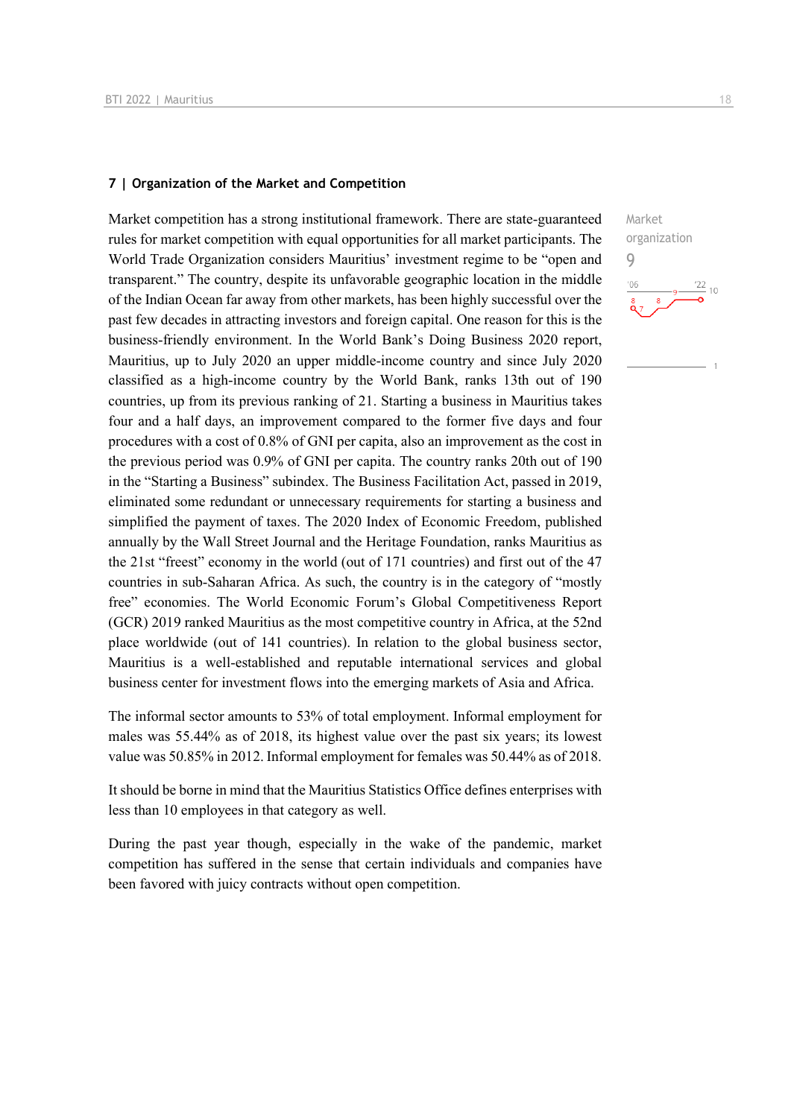#### **7 | Organization of the Market and Competition**

Market competition has a strong institutional framework. There are state-guaranteed rules for market competition with equal opportunities for all market participants. The World Trade Organization considers Mauritius' investment regime to be "open and transparent." The country, despite its unfavorable geographic location in the middle of the Indian Ocean far away from other markets, has been highly successful over the past few decades in attracting investors and foreign capital. One reason for this is the business-friendly environment. In the World Bank's Doing Business 2020 report, Mauritius, up to July 2020 an upper middle-income country and since July 2020 classified as a high-income country by the World Bank, ranks 13th out of 190 countries, up from its previous ranking of 21. Starting a business in Mauritius takes four and a half days, an improvement compared to the former five days and four procedures with a cost of 0.8% of GNI per capita, also an improvement as the cost in the previous period was 0.9% of GNI per capita. The country ranks 20th out of 190 in the "Starting a Business" subindex. The Business Facilitation Act, passed in 2019, eliminated some redundant or unnecessary requirements for starting a business and simplified the payment of taxes. The 2020 Index of Economic Freedom, published annually by the Wall Street Journal and the Heritage Foundation, ranks Mauritius as the 21st "freest" economy in the world (out of 171 countries) and first out of the 47 countries in sub-Saharan Africa. As such, the country is in the category of "mostly free" economies. The World Economic Forum's Global Competitiveness Report (GCR) 2019 ranked Mauritius as the most competitive country in Africa, at the 52nd place worldwide (out of 141 countries). In relation to the global business sector, Mauritius is a well-established and reputable international services and global business center for investment flows into the emerging markets of Asia and Africa.

The informal sector amounts to 53% of total employment. Informal employment for males was 55.44% as of 2018, its highest value over the past six years; its lowest value was 50.85% in 2012. Informal employment for females was 50.44% as of 2018.

It should be borne in mind that the Mauritius Statistics Office defines enterprises with less than 10 employees in that category as well.

During the past year though, especially in the wake of the pandemic, market competition has suffered in the sense that certain individuals and companies have been favored with juicy contracts without open competition.

 $\frac{22}{10}$ 

9

 $106$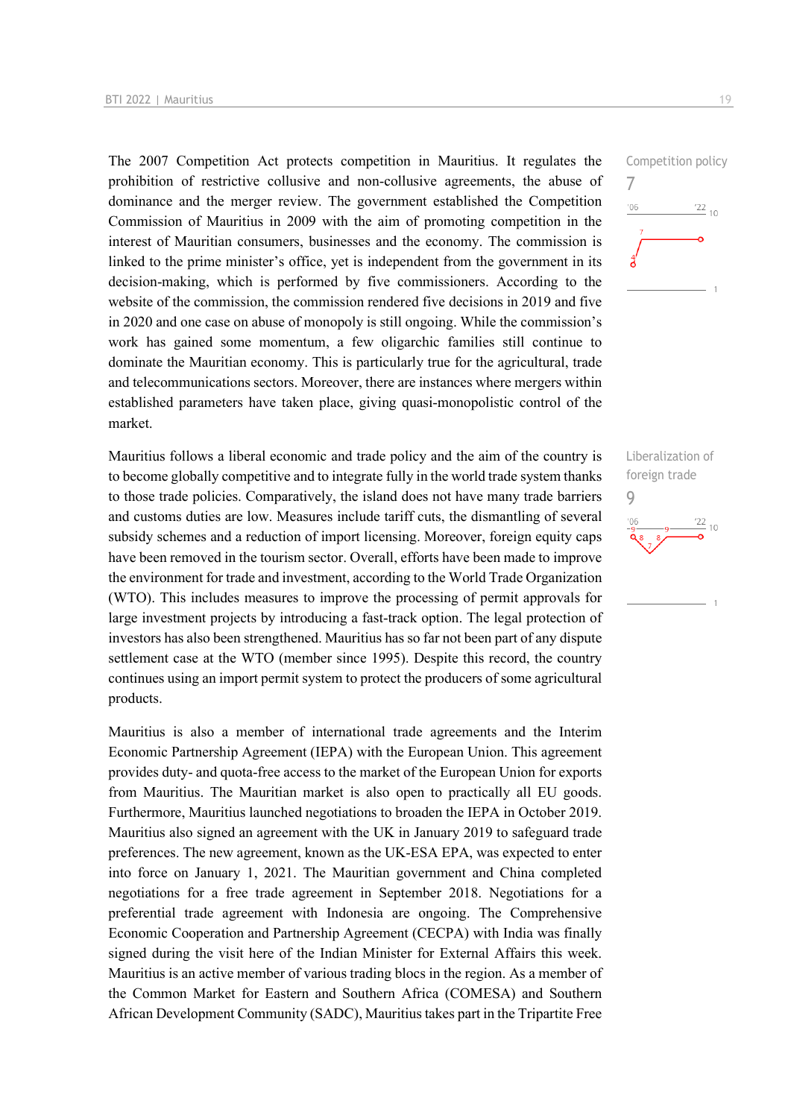The 2007 Competition Act protects competition in Mauritius. It regulates the prohibition of restrictive collusive and non-collusive agreements, the abuse of dominance and the merger review. The government established the Competition Commission of Mauritius in 2009 with the aim of promoting competition in the interest of Mauritian consumers, businesses and the economy. The commission is linked to the prime minister's office, yet is independent from the government in its decision-making, which is performed by five commissioners. According to the website of the commission, the commission rendered five decisions in 2019 and five in 2020 and one case on abuse of monopoly is still ongoing. While the commission's work has gained some momentum, a few oligarchic families still continue to dominate the Mauritian economy. This is particularly true for the agricultural, trade and telecommunications sectors. Moreover, there are instances where mergers within established parameters have taken place, giving quasi-monopolistic control of the market.

Mauritius follows a liberal economic and trade policy and the aim of the country is to become globally competitive and to integrate fully in the world trade system thanks to those trade policies. Comparatively, the island does not have many trade barriers and customs duties are low. Measures include tariff cuts, the dismantling of several subsidy schemes and a reduction of import licensing. Moreover, foreign equity caps have been removed in the tourism sector. Overall, efforts have been made to improve the environment for trade and investment, according to the World Trade Organization (WTO). This includes measures to improve the processing of permit approvals for large investment projects by introducing a fast-track option. The legal protection of investors has also been strengthened. Mauritius has so far not been part of any dispute settlement case at the WTO (member since 1995). Despite this record, the country continues using an import permit system to protect the producers of some agricultural products.

Mauritius is also a member of international trade agreements and the Interim Economic Partnership Agreement (IEPA) with the European Union. This agreement provides duty- and quota-free access to the market of the European Union for exports from Mauritius. The Mauritian market is also open to practically all EU goods. Furthermore, Mauritius launched negotiations to broaden the IEPA in October 2019. Mauritius also signed an agreement with the UK in January 2019 to safeguard trade preferences. The new agreement, known as the UK-ESA EPA, was expected to enter into force on January 1, 2021. The Mauritian government and China completed negotiations for a free trade agreement in September 2018. Negotiations for a preferential trade agreement with Indonesia are ongoing. The Comprehensive Economic Cooperation and Partnership Agreement (CECPA) with India was finally signed during the visit here of the Indian Minister for External Affairs this week. Mauritius is an active member of various trading blocs in the region. As a member of the Common Market for Eastern and Southern Africa (COMESA) and Southern African Development Community (SADC), Mauritius takes part in the Tripartite Free



Liberalization of foreign trade 9 $\frac{22}{10}$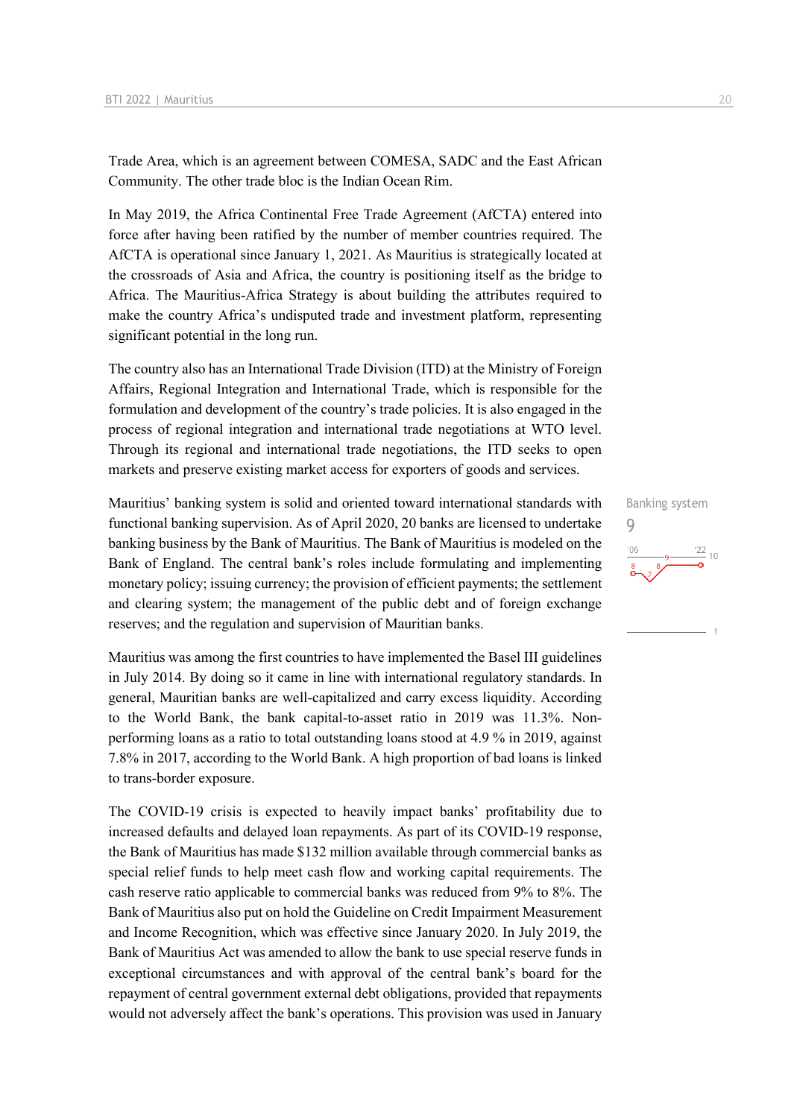Trade Area, which is an agreement between COMESA, SADC and the East African Community. The other trade bloc is the Indian Ocean Rim.

In May 2019, the Africa Continental Free Trade Agreement (AfCTA) entered into force after having been ratified by the number of member countries required. The AfCTA is operational since January 1, 2021. As Mauritius is strategically located at the crossroads of Asia and Africa, the country is positioning itself as the bridge to Africa. The Mauritius-Africa Strategy is about building the attributes required to make the country Africa's undisputed trade and investment platform, representing significant potential in the long run.

The country also has an International Trade Division (ITD) at the Ministry of Foreign Affairs, Regional Integration and International Trade, which is responsible for the formulation and development of the country's trade policies. It is also engaged in the process of regional integration and international trade negotiations at WTO level. Through its regional and international trade negotiations, the ITD seeks to open markets and preserve existing market access for exporters of goods and services.

Mauritius' banking system is solid and oriented toward international standards with functional banking supervision. As of April 2020, 20 banks are licensed to undertake banking business by the Bank of Mauritius. The Bank of Mauritius is modeled on the Bank of England. The central bank's roles include formulating and implementing monetary policy; issuing currency; the provision of efficient payments; the settlement and clearing system; the management of the public debt and of foreign exchange reserves; and the regulation and supervision of Mauritian banks.

Mauritius was among the first countries to have implemented the Basel III guidelines in July 2014. By doing so it came in line with international regulatory standards. In general, Mauritian banks are well-capitalized and carry excess liquidity. According to the World Bank, the bank capital-to-asset ratio in 2019 was 11.3%. Nonperforming loans as a ratio to total outstanding loans stood at 4.9 % in 2019, against 7.8% in 2017, according to the World Bank. A high proportion of bad loans is linked to trans-border exposure.

The COVID-19 crisis is expected to heavily impact banks' profitability due to increased defaults and delayed loan repayments. As part of its COVID-19 response, the Bank of Mauritius has made \$132 million available through commercial banks as special relief funds to help meet cash flow and working capital requirements. The cash reserve ratio applicable to commercial banks was reduced from 9% to 8%. The Bank of Mauritius also put on hold the Guideline on Credit Impairment Measurement and Income Recognition, which was effective since January 2020. In July 2019, the Bank of Mauritius Act was amended to allow the bank to use special reserve funds in exceptional circumstances and with approval of the central bank's board for the repayment of central government external debt obligations, provided that repayments would not adversely affect the bank's operations. This provision was used in January

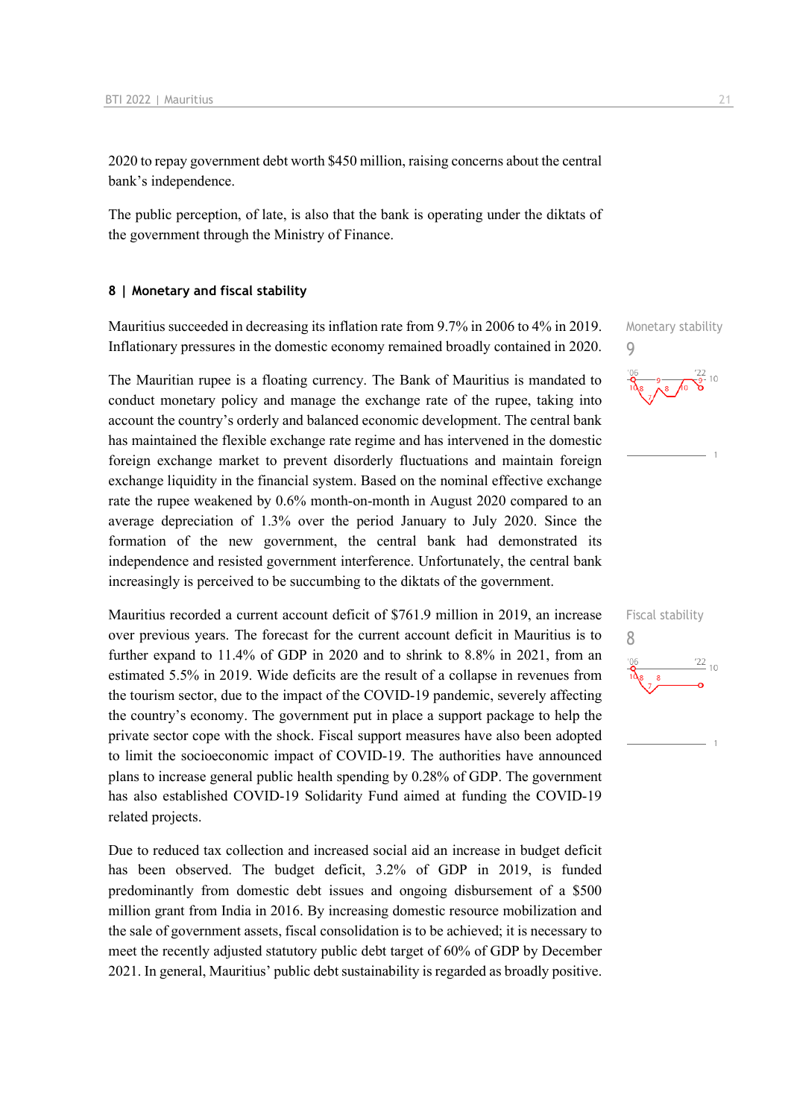2020 to repay government debt worth \$450 million, raising concerns about the central bank's independence.

The public perception, of late, is also that the bank is operating under the diktats of the government through the Ministry of Finance.

#### **8 | Monetary and fiscal stability**

Mauritius succeeded in decreasing its inflation rate from 9.7% in 2006 to 4% in 2019. Inflationary pressures in the domestic economy remained broadly contained in 2020.

The Mauritian rupee is a floating currency. The Bank of Mauritius is mandated to conduct monetary policy and manage the exchange rate of the rupee, taking into account the country's orderly and balanced economic development. The central bank has maintained the flexible exchange rate regime and has intervened in the domestic foreign exchange market to prevent disorderly fluctuations and maintain foreign exchange liquidity in the financial system. Based on the nominal effective exchange rate the rupee weakened by 0.6% month-on-month in August 2020 compared to an average depreciation of 1.3% over the period January to July 2020. Since the formation of the new government, the central bank had demonstrated its independence and resisted government interference. Unfortunately, the central bank increasingly is perceived to be succumbing to the diktats of the government.

Mauritius recorded a current account deficit of \$761.9 million in 2019, an increase over previous years. The forecast for the current account deficit in Mauritius is to further expand to 11.4% of GDP in 2020 and to shrink to 8.8% in 2021, from an estimated 5.5% in 2019. Wide deficits are the result of a collapse in revenues from the tourism sector, due to the impact of the COVID-19 pandemic, severely affecting the country's economy. The government put in place a support package to help the private sector cope with the shock. Fiscal support measures have also been adopted to limit the socioeconomic impact of COVID-19. The authorities have announced plans to increase general public health spending by 0.28% of GDP. The government has also established COVID-19 Solidarity Fund aimed at funding the COVID-19 related projects.

Due to reduced tax collection and increased social aid an increase in budget deficit has been observed. The budget deficit, 3.2% of GDP in 2019, is funded predominantly from domestic debt issues and ongoing disbursement of a \$500 million grant from India in 2016. By increasing domestic resource mobilization and the sale of government assets, fiscal consolidation is to be achieved; it is necessary to meet the recently adjusted statutory public debt target of 60% of GDP by December 2021. In general, Mauritius' public debt sustainability is regarded as broadly positive.

Monetary stability 9

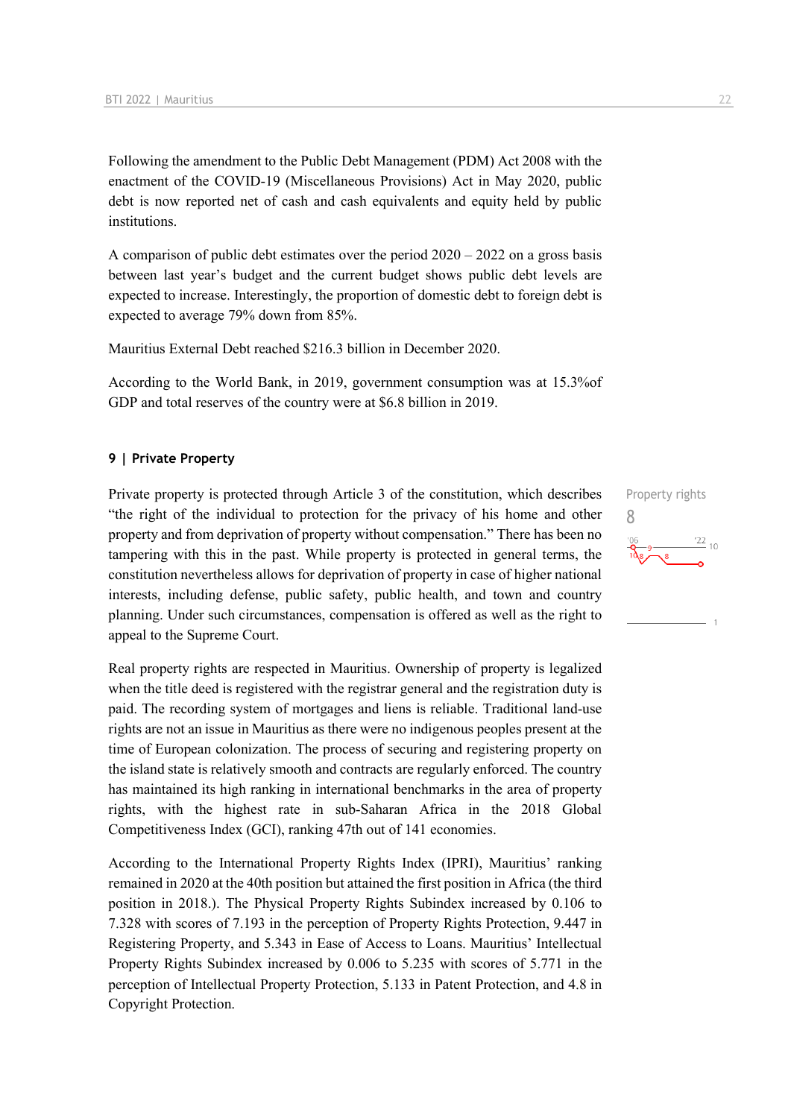Following the amendment to the Public Debt Management (PDM) Act 2008 with the enactment of the COVID-19 (Miscellaneous Provisions) Act in May 2020, public debt is now reported net of cash and cash equivalents and equity held by public institutions.

A comparison of public debt estimates over the period 2020 – 2022 on a gross basis between last year's budget and the current budget shows public debt levels are expected to increase. Interestingly, the proportion of domestic debt to foreign debt is expected to average 79% down from 85%.

Mauritius External Debt reached \$216.3 billion in December 2020.

According to the World Bank, in 2019, government consumption was at 15.3%of GDP and total reserves of the country were at \$6.8 billion in 2019.

#### **9 | Private Property**

Private property is protected through Article 3 of the constitution, which describes "the right of the individual to protection for the privacy of his home and other property and from deprivation of property without compensation." There has been no tampering with this in the past. While property is protected in general terms, the constitution nevertheless allows for deprivation of property in case of higher national interests, including defense, public safety, public health, and town and country planning. Under such circumstances, compensation is offered as well as the right to appeal to the Supreme Court.

Real property rights are respected in Mauritius. Ownership of property is legalized when the title deed is registered with the registrar general and the registration duty is paid. The recording system of mortgages and liens is reliable. Traditional land-use rights are not an issue in Mauritius as there were no indigenous peoples present at the time of European colonization. The process of securing and registering property on the island state is relatively smooth and contracts are regularly enforced. The country has maintained its high ranking in international benchmarks in the area of property rights, with the highest rate in sub-Saharan Africa in the 2018 Global Competitiveness Index (GCI), ranking 47th out of 141 economies.

According to the International Property Rights Index (IPRI), Mauritius' ranking remained in 2020 at the 40th position but attained the first position in Africa (the third position in 2018.). The Physical Property Rights Subindex increased by 0.106 to 7.328 with scores of 7.193 in the perception of Property Rights Protection, 9.447 in Registering Property, and 5.343 in Ease of Access to Loans. Mauritius' Intellectual Property Rights Subindex increased by 0.006 to 5.235 with scores of 5.771 in the perception of Intellectual Property Protection, 5.133 in Patent Protection, and 4.8 in Copyright Protection.

Property rights 8 $\frac{22}{10}$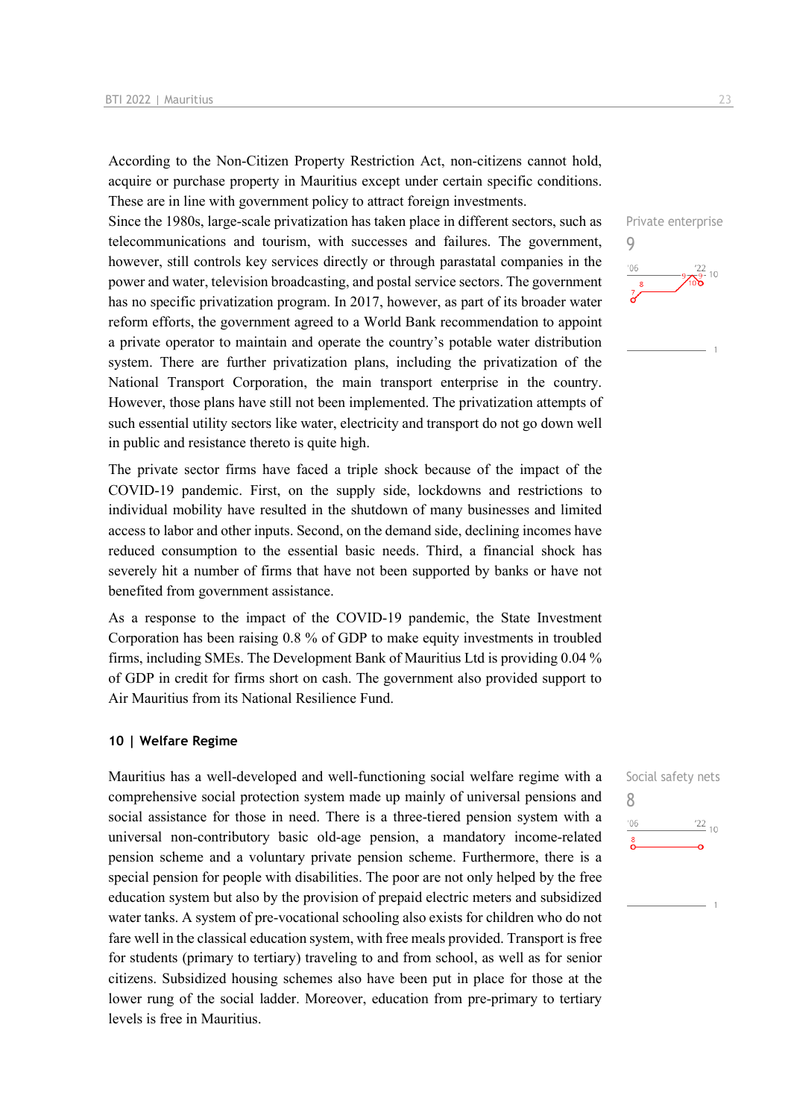According to the Non-Citizen Property Restriction Act, non-citizens cannot hold, acquire or purchase property in Mauritius except under certain specific conditions. These are in line with government policy to attract foreign investments.

Since the 1980s, large-scale privatization has taken place in different sectors, such as telecommunications and tourism, with successes and failures. The government, however, still controls key services directly or through parastatal companies in the power and water, television broadcasting, and postal service sectors. The government has no specific privatization program. In 2017, however, as part of its broader water reform efforts, the government agreed to a World Bank recommendation to appoint a private operator to maintain and operate the country's potable water distribution system. There are further privatization plans, including the privatization of the National Transport Corporation, the main transport enterprise in the country. However, those plans have still not been implemented. The privatization attempts of such essential utility sectors like water, electricity and transport do not go down well in public and resistance thereto is quite high.

The private sector firms have faced a triple shock because of the impact of the COVID-19 pandemic. First, on the supply side, lockdowns and restrictions to individual mobility have resulted in the shutdown of many businesses and limited access to labor and other inputs. Second, on the demand side, declining incomes have reduced consumption to the essential basic needs. Third, a financial shock has severely hit a number of firms that have not been supported by banks or have not benefited from government assistance.

As a response to the impact of the COVID-19 pandemic, the State Investment Corporation has been raising 0.8 % of GDP to make equity investments in troubled firms, including SMEs. The Development Bank of Mauritius Ltd is providing 0.04 % of GDP in credit for firms short on cash. The government also provided support to Air Mauritius from its National Resilience Fund.

#### **10 | Welfare Regime**

Mauritius has a well-developed and well-functioning social welfare regime with a comprehensive social protection system made up mainly of universal pensions and social assistance for those in need. There is a three-tiered pension system with a universal non-contributory basic old-age pension, a mandatory income-related pension scheme and a voluntary private pension scheme. Furthermore, there is a special pension for people with disabilities. The poor are not only helped by the free education system but also by the provision of prepaid electric meters and subsidized water tanks. A system of pre-vocational schooling also exists for children who do not fare well in the classical education system, with free meals provided. Transport is free for students (primary to tertiary) traveling to and from school, as well as for senior citizens. Subsidized housing schemes also have been put in place for those at the lower rung of the social ladder. Moreover, education from pre-primary to tertiary levels is free in Mauritius.



|     | Social safety nets |
|-----|--------------------|
|     |                    |
| '06 | $\frac{22}{10}$    |
| 8   |                    |
|     |                    |
|     |                    |
|     |                    |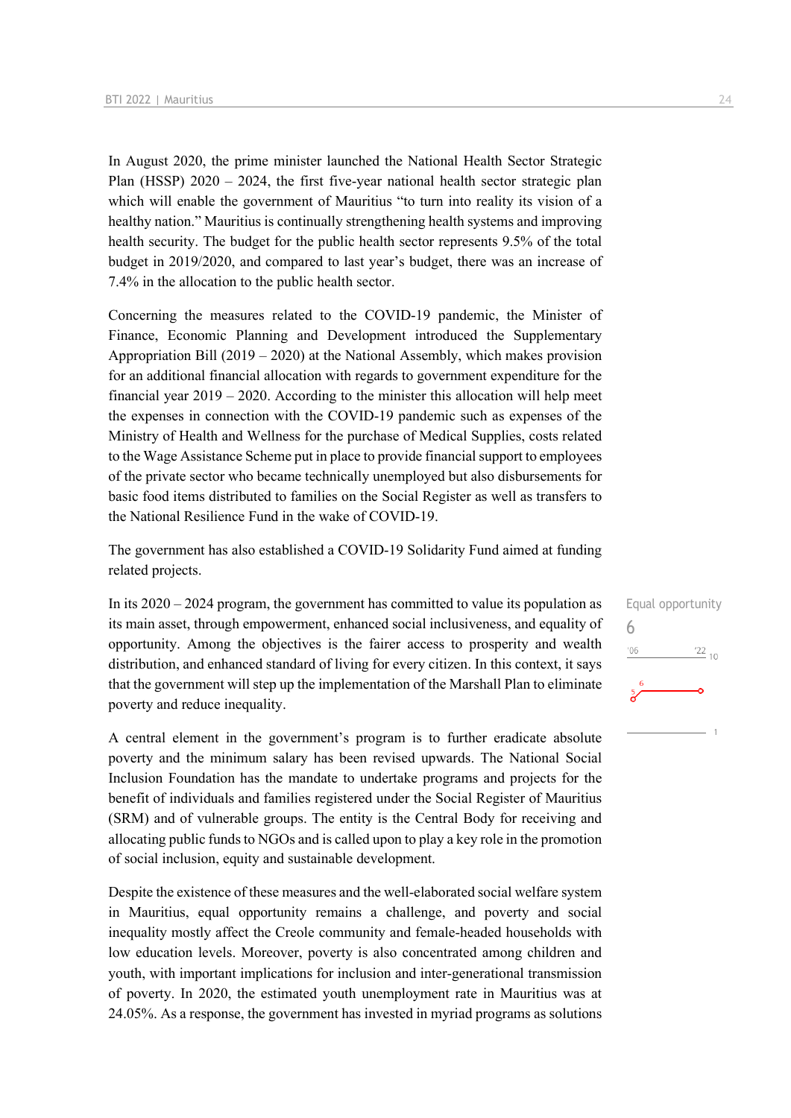In August 2020, the prime minister launched the National Health Sector Strategic Plan (HSSP)  $2020 - 2024$ , the first five-year national health sector strategic plan which will enable the government of Mauritius "to turn into reality its vision of a healthy nation." Mauritius is continually strengthening health systems and improving health security. The budget for the public health sector represents 9.5% of the total budget in 2019/2020, and compared to last year's budget, there was an increase of 7.4% in the allocation to the public health sector.

Concerning the measures related to the COVID-19 pandemic, the Minister of Finance, Economic Planning and Development introduced the Supplementary Appropriation Bill (2019 – 2020) at the National Assembly, which makes provision for an additional financial allocation with regards to government expenditure for the financial year  $2019 - 2020$ . According to the minister this allocation will help meet the expenses in connection with the COVID-19 pandemic such as expenses of the Ministry of Health and Wellness for the purchase of Medical Supplies, costs related to the Wage Assistance Scheme put in place to provide financial support to employees of the private sector who became technically unemployed but also disbursements for basic food items distributed to families on the Social Register as well as transfers to the National Resilience Fund in the wake of COVID-19.

The government has also established a COVID-19 Solidarity Fund aimed at funding related projects.

In its 2020 – 2024 program, the government has committed to value its population as its main asset, through empowerment, enhanced social inclusiveness, and equality of opportunity. Among the objectives is the fairer access to prosperity and wealth distribution, and enhanced standard of living for every citizen. In this context, it says that the government will step up the implementation of the Marshall Plan to eliminate poverty and reduce inequality.

A central element in the government's program is to further eradicate absolute poverty and the minimum salary has been revised upwards. The National Social Inclusion Foundation has the mandate to undertake programs and projects for the benefit of individuals and families registered under the Social Register of Mauritius (SRM) and of vulnerable groups. The entity is the Central Body for receiving and allocating public funds to NGOs and is called upon to play a key role in the promotion of social inclusion, equity and sustainable development.

Despite the existence of these measures and the well-elaborated social welfare system in Mauritius, equal opportunity remains a challenge, and poverty and social inequality mostly affect the Creole community and female-headed households with low education levels. Moreover, poverty is also concentrated among children and youth, with important implications for inclusion and inter-generational transmission of poverty. In 2020, the estimated youth unemployment rate in Mauritius was at 24.05%. As a response, the government has invested in myriad programs as solutions Equal opportunity 6 $-06$  $\frac{22}{10}$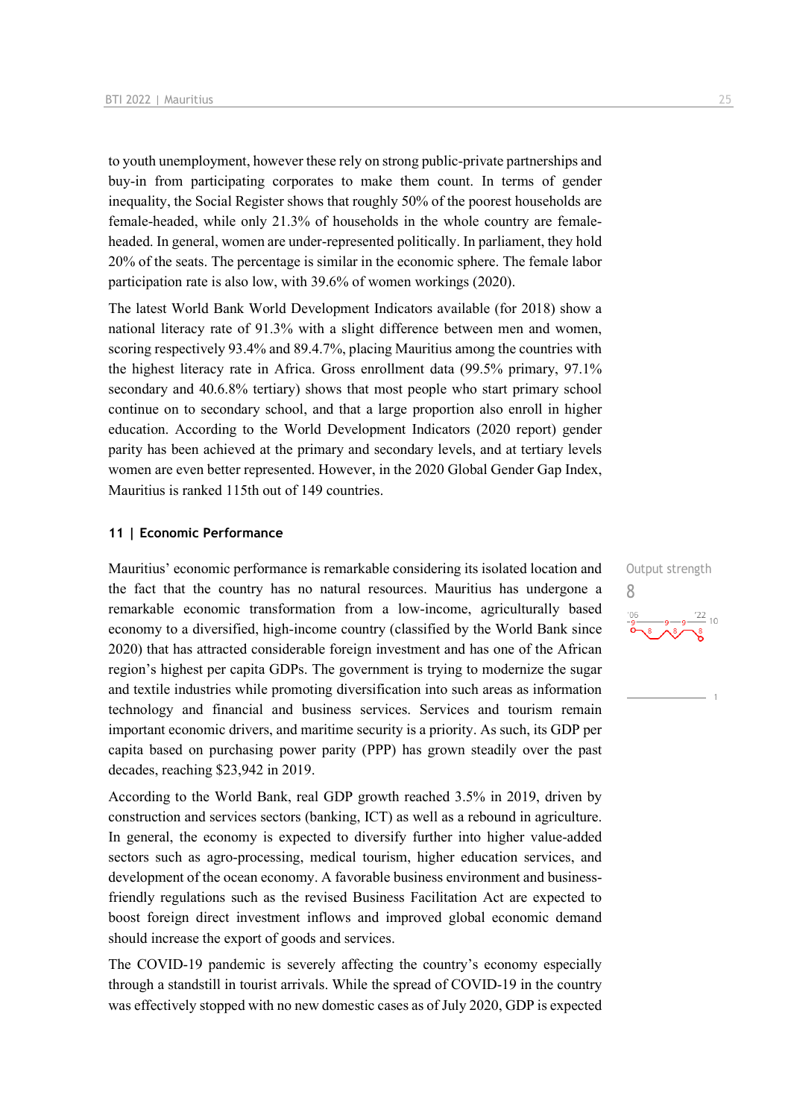to youth unemployment, however these rely on strong public-private partnerships and buy-in from participating corporates to make them count. In terms of gender inequality, the Social Register shows that roughly 50% of the poorest households are female-headed, while only 21.3% of households in the whole country are femaleheaded. In general, women are under-represented politically. In parliament, they hold 20% of the seats. The percentage is similar in the economic sphere. The female labor participation rate is also low, with 39.6% of women workings (2020).

The latest World Bank World Development Indicators available (for 2018) show a national literacy rate of 91.3% with a slight difference between men and women, scoring respectively 93.4% and 89.4.7%, placing Mauritius among the countries with the highest literacy rate in Africa. Gross enrollment data (99.5% primary, 97.1% secondary and 40.6.8% tertiary) shows that most people who start primary school continue on to secondary school, and that a large proportion also enroll in higher education. According to the World Development Indicators (2020 report) gender parity has been achieved at the primary and secondary levels, and at tertiary levels women are even better represented. However, in the 2020 Global Gender Gap Index, Mauritius is ranked 115th out of 149 countries.

#### **11 | Economic Performance**

Mauritius' economic performance is remarkable considering its isolated location and the fact that the country has no natural resources. Mauritius has undergone a remarkable economic transformation from a low-income, agriculturally based economy to a diversified, high-income country (classified by the World Bank since 2020) that has attracted considerable foreign investment and has one of the African region's highest per capita GDPs. The government is trying to modernize the sugar and textile industries while promoting diversification into such areas as information technology and financial and business services. Services and tourism remain important economic drivers, and maritime security is a priority. As such, its GDP per capita based on purchasing power parity (PPP) has grown steadily over the past decades, reaching \$23,942 in 2019.

According to the World Bank, real GDP growth reached 3.5% in 2019, driven by construction and services sectors (banking, ICT) as well as a rebound in agriculture. In general, the economy is expected to diversify further into higher value-added sectors such as agro-processing, medical tourism, higher education services, and development of the ocean economy. A favorable business environment and businessfriendly regulations such as the revised Business Facilitation Act are expected to boost foreign direct investment inflows and improved global economic demand should increase the export of goods and services.

The COVID-19 pandemic is severely affecting the country's economy especially through a standstill in tourist arrivals. While the spread of COVID-19 in the country was effectively stopped with no new domestic cases as of July 2020, GDP is expected Output strength 8 $\frac{22}{10}$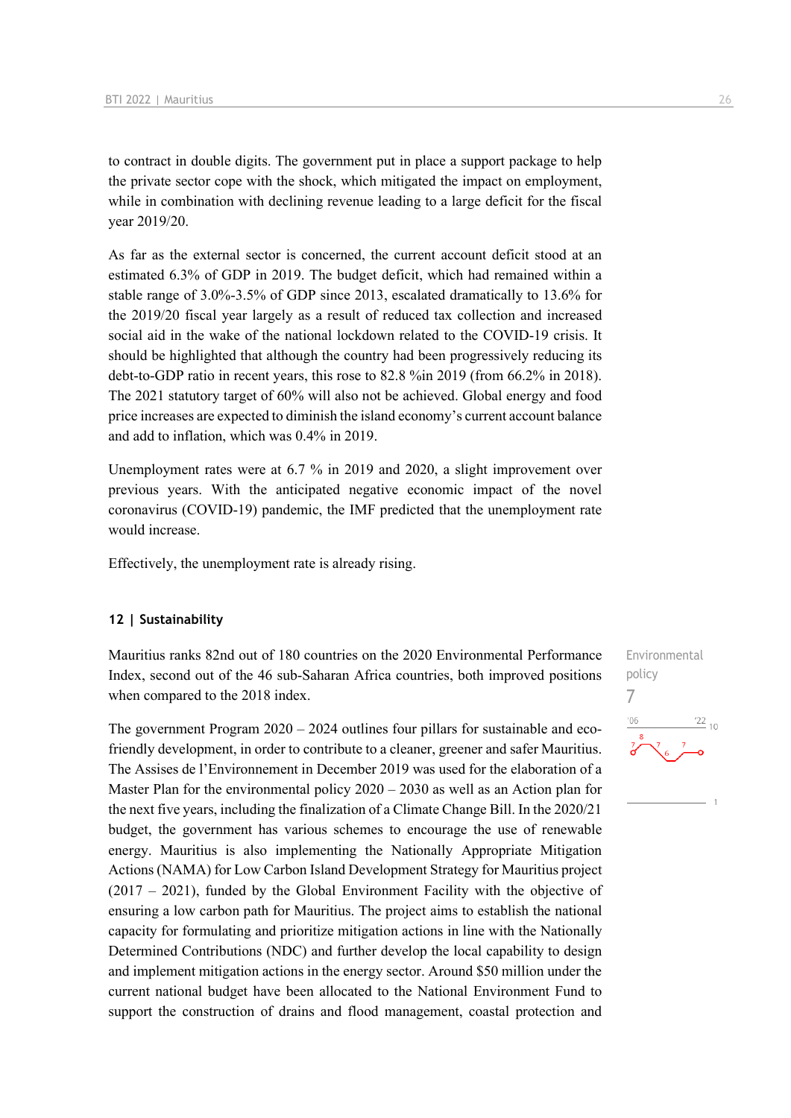to contract in double digits. The government put in place a support package to help the private sector cope with the shock, which mitigated the impact on employment, while in combination with declining revenue leading to a large deficit for the fiscal year 2019/20.

As far as the external sector is concerned, the current account deficit stood at an estimated 6.3% of GDP in 2019. The budget deficit, which had remained within a stable range of 3.0%-3.5% of GDP since 2013, escalated dramatically to 13.6% for the 2019/20 fiscal year largely as a result of reduced tax collection and increased social aid in the wake of the national lockdown related to the COVID-19 crisis. It should be highlighted that although the country had been progressively reducing its debt-to-GDP ratio in recent years, this rose to 82.8 %in 2019 (from 66.2% in 2018). The 2021 statutory target of 60% will also not be achieved. Global energy and food price increases are expected to diminish the island economy's current account balance and add to inflation, which was 0.4% in 2019.

Unemployment rates were at 6.7 % in 2019 and 2020, a slight improvement over previous years. With the anticipated negative economic impact of the novel coronavirus (COVID-19) pandemic, the IMF predicted that the unemployment rate would increase.

Effectively, the unemployment rate is already rising.

#### **12 | Sustainability**

Mauritius ranks 82nd out of 180 countries on the 2020 Environmental Performance Index, second out of the 46 sub-Saharan Africa countries, both improved positions when compared to the 2018 index.

The government Program 2020 – 2024 outlines four pillars for sustainable and ecofriendly development, in order to contribute to a cleaner, greener and safer Mauritius. The Assises de l'Environnement in December 2019 was used for the elaboration of a Master Plan for the environmental policy 2020 – 2030 as well as an Action plan for the next five years, including the finalization of a Climate Change Bill. In the 2020/21 budget, the government has various schemes to encourage the use of renewable energy. Mauritius is also implementing the Nationally Appropriate Mitigation Actions (NAMA) for Low Carbon Island Development Strategy for Mauritius project (2017 – 2021), funded by the Global Environment Facility with the objective of ensuring a low carbon path for Mauritius. The project aims to establish the national capacity for formulating and prioritize mitigation actions in line with the Nationally Determined Contributions (NDC) and further develop the local capability to design and implement mitigation actions in the energy sector. Around \$50 million under the current national budget have been allocated to the National Environment Fund to support the construction of drains and flood management, coastal protection and Environmental policy 7 $^{\prime}$ 06  $\frac{22}{10}$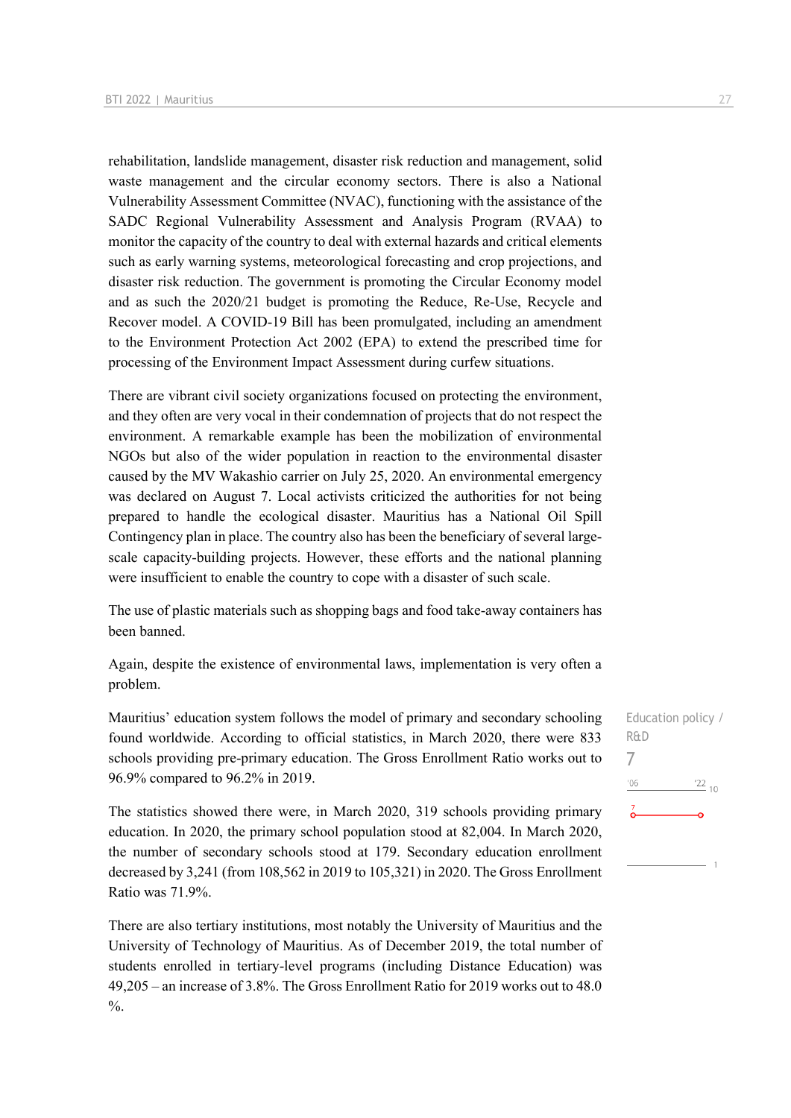rehabilitation, landslide management, disaster risk reduction and management, solid waste management and the circular economy sectors. There is also a National Vulnerability Assessment Committee (NVAC), functioning with the assistance of the SADC Regional Vulnerability Assessment and Analysis Program (RVAA) to monitor the capacity of the country to deal with external hazards and critical elements such as early warning systems, meteorological forecasting and crop projections, and disaster risk reduction. The government is promoting the Circular Economy model and as such the 2020/21 budget is promoting the Reduce, Re-Use, Recycle and Recover model. A COVID-19 Bill has been promulgated, including an amendment to the Environment Protection Act 2002 (EPA) to extend the prescribed time for processing of the Environment Impact Assessment during curfew situations.

There are vibrant civil society organizations focused on protecting the environment, and they often are very vocal in their condemnation of projects that do not respect the environment. A remarkable example has been the mobilization of environmental NGOs but also of the wider population in reaction to the environmental disaster caused by the MV Wakashio carrier on July 25, 2020. An environmental emergency was declared on August 7. Local activists criticized the authorities for not being prepared to handle the ecological disaster. Mauritius has a National Oil Spill Contingency plan in place. The country also has been the beneficiary of several largescale capacity-building projects. However, these efforts and the national planning were insufficient to enable the country to cope with a disaster of such scale.

The use of plastic materials such as shopping bags and food take-away containers has been banned.

Again, despite the existence of environmental laws, implementation is very often a problem.

Mauritius' education system follows the model of primary and secondary schooling found worldwide. According to official statistics, in March 2020, there were 833 schools providing pre-primary education. The Gross Enrollment Ratio works out to 96.9% compared to 96.2% in 2019.

The statistics showed there were, in March 2020, 319 schools providing primary education. In 2020, the primary school population stood at 82,004. In March 2020, the number of secondary schools stood at 179. Secondary education enrollment decreased by 3,241 (from 108,562 in 2019 to 105,321) in 2020. The Gross Enrollment Ratio was 71.9%.

There are also tertiary institutions, most notably the University of Mauritius and the University of Technology of Mauritius. As of December 2019, the total number of students enrolled in tertiary-level programs (including Distance Education) was 49,205 – an increase of 3.8%. The Gross Enrollment Ratio for 2019 works out to 48.0  $\frac{0}{6}$ .

Education policy / R&D 7 $06'$  $\frac{22}{10}$ Ā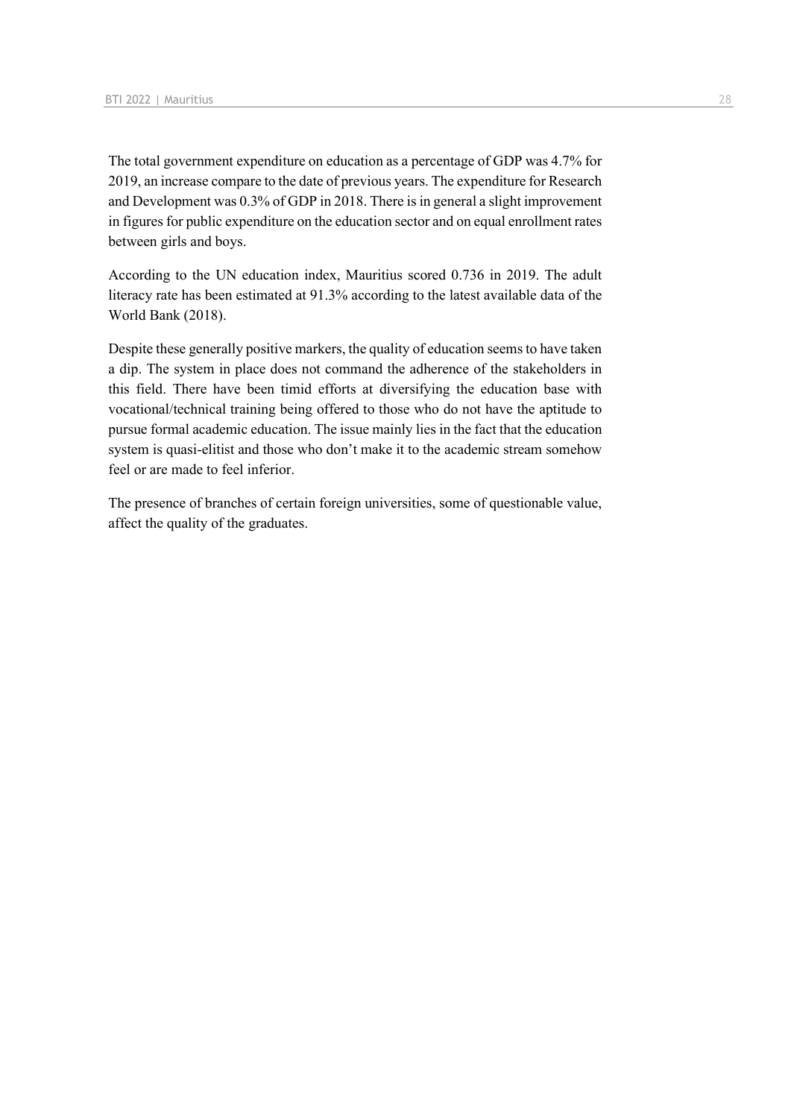The total government expenditure on education as a percentage of GDP was 4.7% for 2019, an increase compare to the date of previous years. The expenditure for Research and Development was 0.3% of GDP in 2018. There is in general a slight improvement in figures for public expenditure on the education sector and on equal enrollment rates between girls and boys.

According to the UN education index, Mauritius scored 0.736 in 2019. The adult literacy rate has been estimated at 91.3% according to the latest available data of the World Bank (2018).

Despite these generally positive markers, the quality of education seems to have taken a dip. The system in place does not command the adherence of the stakeholders in this field. There have been timid efforts at diversifying the education base with vocational/technical training being offered to those who do not have the aptitude to pursue formal academic education. The issue mainly lies in the fact that the education system is quasi-elitist and those who don't make it to the academic stream somehow feel or are made to feel inferior.

The presence of branches of certain foreign universities, some of questionable value, affect the quality of the graduates.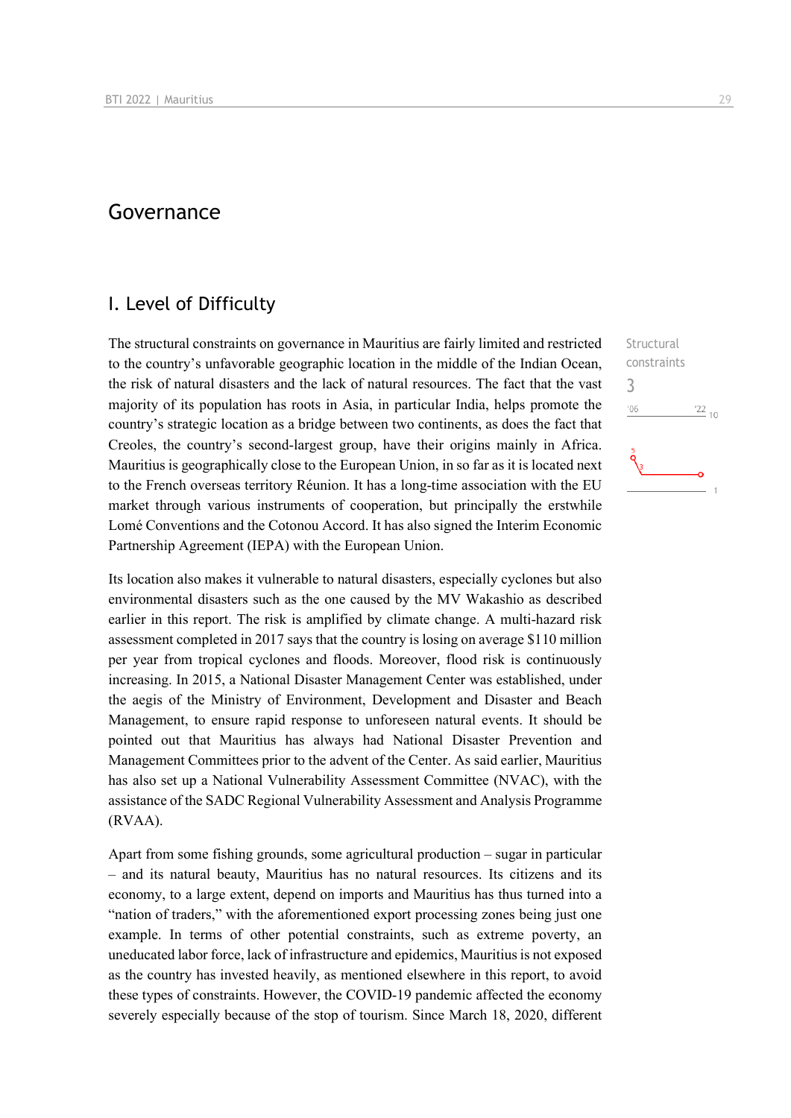## Governance

### I. Level of Difficulty

The structural constraints on governance in Mauritius are fairly limited and restricted to the country's unfavorable geographic location in the middle of the Indian Ocean, the risk of natural disasters and the lack of natural resources. The fact that the vast majority of its population has roots in Asia, in particular India, helps promote the country's strategic location as a bridge between two continents, as does the fact that Creoles, the country's second-largest group, have their origins mainly in Africa. Mauritius is geographically close to the European Union, in so far as it is located next to the French overseas territory Réunion. It has a long-time association with the EU market through various instruments of cooperation, but principally the erstwhile Lomé Conventions and the Cotonou Accord. It has also signed the Interim Economic Partnership Agreement (IEPA) with the European Union.

Its location also makes it vulnerable to natural disasters, especially cyclones but also environmental disasters such as the one caused by the MV Wakashio as described earlier in this report. The risk is amplified by climate change. A multi-hazard risk assessment completed in 2017 says that the country is losing on average \$110 million per year from tropical cyclones and floods. Moreover, flood risk is continuously increasing. In 2015, a National Disaster Management Center was established, under the aegis of the Ministry of Environment, Development and Disaster and Beach Management, to ensure rapid response to unforeseen natural events. It should be pointed out that Mauritius has always had National Disaster Prevention and Management Committees prior to the advent of the Center. As said earlier, Mauritius has also set up a National Vulnerability Assessment Committee (NVAC), with the assistance of the SADC Regional Vulnerability Assessment and Analysis Programme (RVAA).

Apart from some fishing grounds, some agricultural production – sugar in particular – and its natural beauty, Mauritius has no natural resources. Its citizens and its economy, to a large extent, depend on imports and Mauritius has thus turned into a "nation of traders," with the aforementioned export processing zones being just one example. In terms of other potential constraints, such as extreme poverty, an uneducated labor force, lack of infrastructure and epidemics, Mauritius is not exposed as the country has invested heavily, as mentioned elsewhere in this report, to avoid these types of constraints. However, the COVID-19 pandemic affected the economy severely especially because of the stop of tourism. Since March 18, 2020, different 3 $n<sub>6</sub>$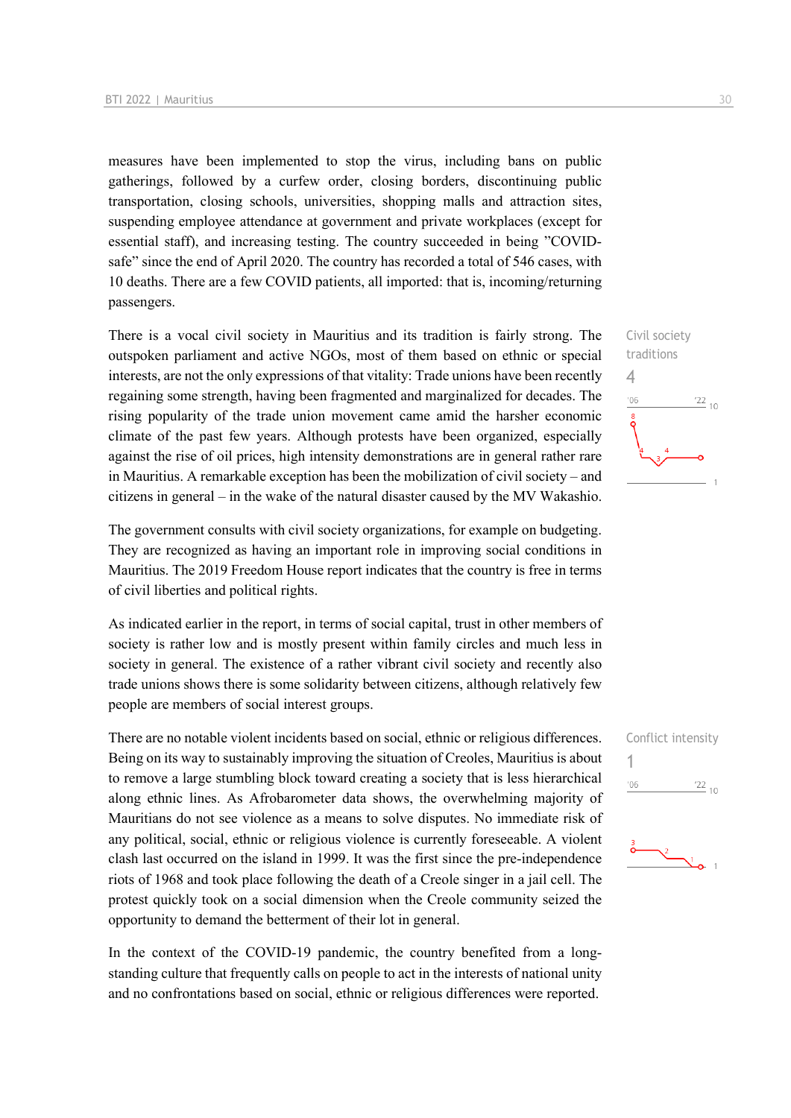measures have been implemented to stop the virus, including bans on public gatherings, followed by a curfew order, closing borders, discontinuing public transportation, closing schools, universities, shopping malls and attraction sites, suspending employee attendance at government and private workplaces (except for essential staff), and increasing testing. The country succeeded in being "COVIDsafe" since the end of April 2020. The country has recorded a total of 546 cases, with 10 deaths. There are a few COVID patients, all imported: that is, incoming/returning passengers.

There is a vocal civil society in Mauritius and its tradition is fairly strong. The outspoken parliament and active NGOs, most of them based on ethnic or special interests, are not the only expressions of that vitality: Trade unions have been recently regaining some strength, having been fragmented and marginalized for decades. The rising popularity of the trade union movement came amid the harsher economic climate of the past few years. Although protests have been organized, especially against the rise of oil prices, high intensity demonstrations are in general rather rare in Mauritius. A remarkable exception has been the mobilization of civil society – and citizens in general – in the wake of the natural disaster caused by the MV Wakashio.

The government consults with civil society organizations, for example on budgeting. They are recognized as having an important role in improving social conditions in Mauritius. The 2019 Freedom House report indicates that the country is free in terms of civil liberties and political rights.

As indicated earlier in the report, in terms of social capital, trust in other members of society is rather low and is mostly present within family circles and much less in society in general. The existence of a rather vibrant civil society and recently also trade unions shows there is some solidarity between citizens, although relatively few people are members of social interest groups.

There are no notable violent incidents based on social, ethnic or religious differences. Being on its way to sustainably improving the situation of Creoles, Mauritius is about to remove a large stumbling block toward creating a society that is less hierarchical along ethnic lines. As Afrobarometer data shows, the overwhelming majority of Mauritians do not see violence as a means to solve disputes. No immediate risk of any political, social, ethnic or religious violence is currently foreseeable. A violent clash last occurred on the island in 1999. It was the first since the pre-independence riots of 1968 and took place following the death of a Creole singer in a jail cell. The protest quickly took on a social dimension when the Creole community seized the opportunity to demand the betterment of their lot in general.

In the context of the COVID-19 pandemic, the country benefited from a longstanding culture that frequently calls on people to act in the interests of national unity and no confrontations based on social, ethnic or religious differences were reported.

 $\frac{22}{10}$ 

Civil society traditions

4

 $^{\prime}06$ 



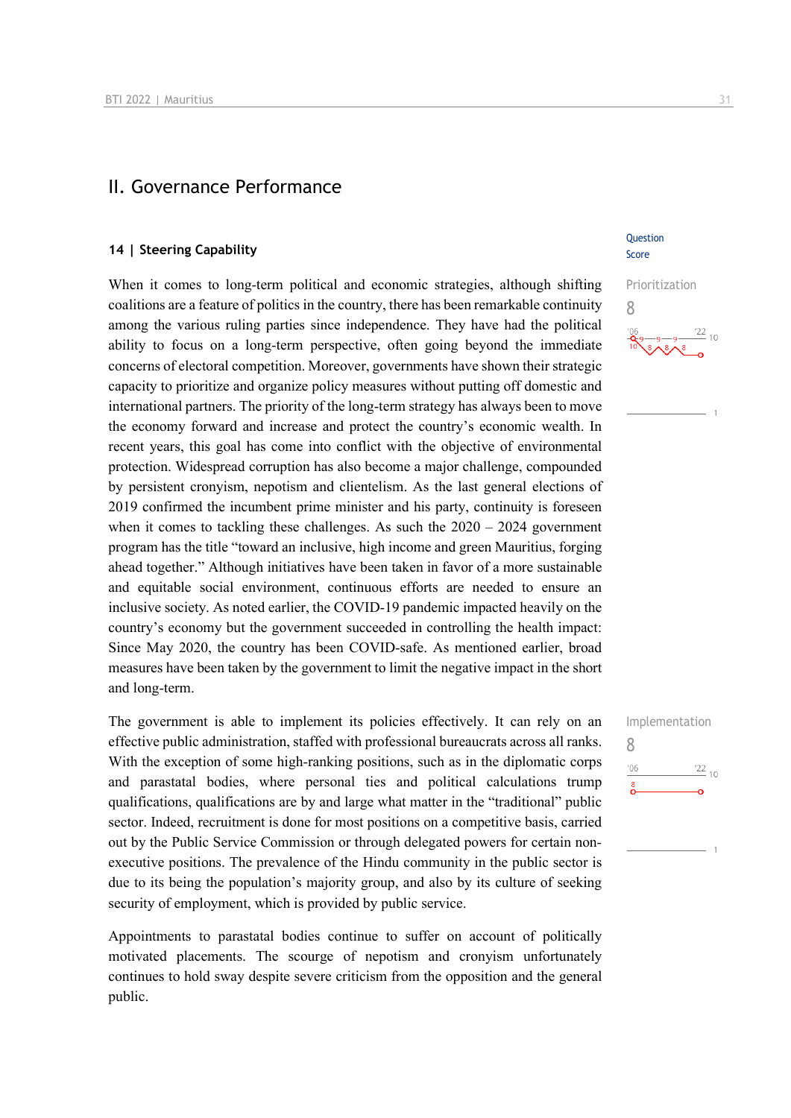## II. Governance Performance

#### **14 | Steering Capability**

When it comes to long-term political and economic strategies, although shifting coalitions are a feature of politics in the country, there has been remarkable continuity among the various ruling parties since independence. They have had the political ability to focus on a long-term perspective, often going beyond the immediate concerns of electoral competition. Moreover, governments have shown their strategic capacity to prioritize and organize policy measures without putting off domestic and international partners. The priority of the long-term strategy has always been to move the economy forward and increase and protect the country's economic wealth. In recent years, this goal has come into conflict with the objective of environmental protection. Widespread corruption has also become a major challenge, compounded by persistent cronyism, nepotism and clientelism. As the last general elections of 2019 confirmed the incumbent prime minister and his party, continuity is foreseen when it comes to tackling these challenges. As such the  $2020 - 2024$  government program has the title "toward an inclusive, high income and green Mauritius, forging ahead together." Although initiatives have been taken in favor of a more sustainable and equitable social environment, continuous efforts are needed to ensure an inclusive society. As noted earlier, the COVID-19 pandemic impacted heavily on the country's economy but the government succeeded in controlling the health impact: Since May 2020, the country has been COVID-safe. As mentioned earlier, broad measures have been taken by the government to limit the negative impact in the short and long-term.

The government is able to implement its policies effectively. It can rely on an effective public administration, staffed with professional bureaucrats across all ranks. With the exception of some high-ranking positions, such as in the diplomatic corps and parastatal bodies, where personal ties and political calculations trump qualifications, qualifications are by and large what matter in the "traditional" public sector. Indeed, recruitment is done for most positions on a competitive basis, carried out by the Public Service Commission or through delegated powers for certain nonexecutive positions. The prevalence of the Hindu community in the public sector is due to its being the population's majority group, and also by its culture of seeking security of employment, which is provided by public service.

Appointments to parastatal bodies continue to suffer on account of politically motivated placements. The scourge of nepotism and cronyism unfortunately continues to hold sway despite severe criticism from the opposition and the general public.

Question Score

Prioritization 8  $\frac{22}{10}$ 

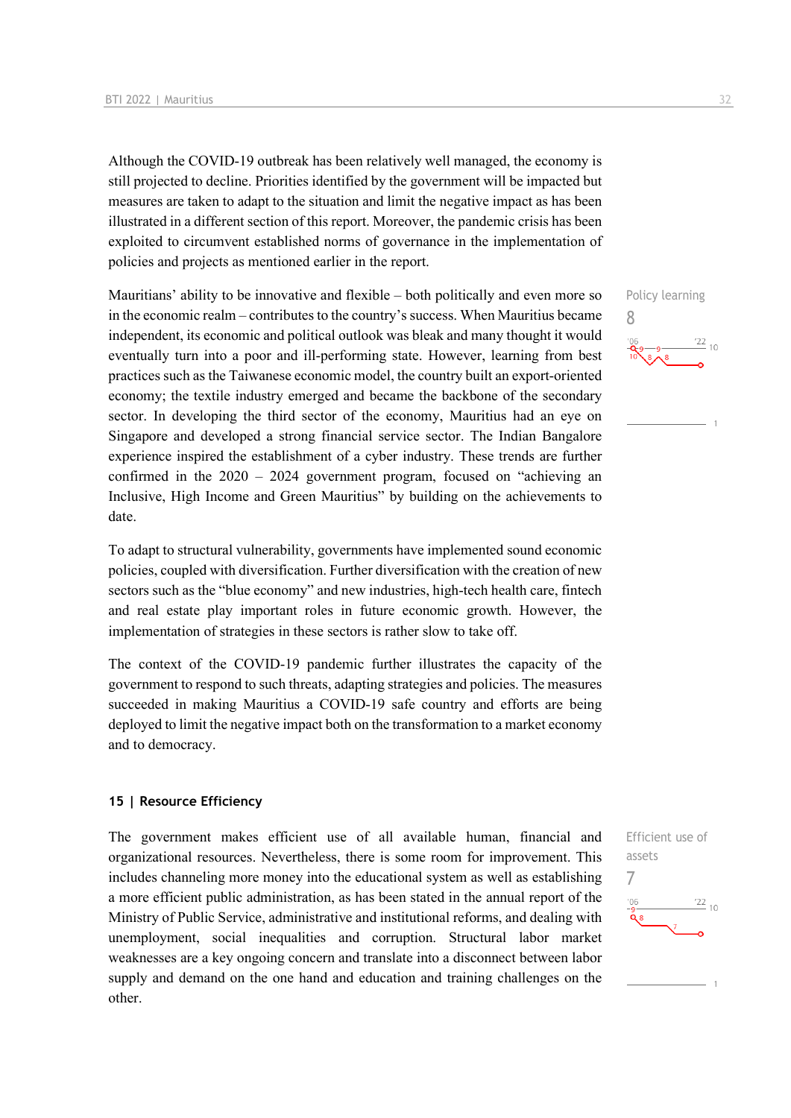Although the COVID-19 outbreak has been relatively well managed, the economy is still projected to decline. Priorities identified by the government will be impacted but measures are taken to adapt to the situation and limit the negative impact as has been illustrated in a different section of this report. Moreover, the pandemic crisis has been exploited to circumvent established norms of governance in the implementation of policies and projects as mentioned earlier in the report.

Mauritians' ability to be innovative and flexible – both politically and even more so in the economic realm – contributes to the country's success. When Mauritius became independent, its economic and political outlook was bleak and many thought it would eventually turn into a poor and ill-performing state. However, learning from best practices such as the Taiwanese economic model, the country built an export-oriented economy; the textile industry emerged and became the backbone of the secondary sector. In developing the third sector of the economy, Mauritius had an eye on Singapore and developed a strong financial service sector. The Indian Bangalore experience inspired the establishment of a cyber industry. These trends are further confirmed in the 2020 – 2024 government program, focused on "achieving an Inclusive, High Income and Green Mauritius" by building on the achievements to date.

To adapt to structural vulnerability, governments have implemented sound economic policies, coupled with diversification. Further diversification with the creation of new sectors such as the "blue economy" and new industries, high-tech health care, fintech and real estate play important roles in future economic growth. However, the implementation of strategies in these sectors is rather slow to take off.

The context of the COVID-19 pandemic further illustrates the capacity of the government to respond to such threats, adapting strategies and policies. The measures succeeded in making Mauritius a COVID-19 safe country and efforts are being deployed to limit the negative impact both on the transformation to a market economy and to democracy.

#### **15 | Resource Efficiency**

The government makes efficient use of all available human, financial and organizational resources. Nevertheless, there is some room for improvement. This includes channeling more money into the educational system as well as establishing a more efficient public administration, as has been stated in the annual report of the Ministry of Public Service, administrative and institutional reforms, and dealing with unemployment, social inequalities and corruption. Structural labor market weaknesses are a key ongoing concern and translate into a disconnect between labor supply and demand on the one hand and education and training challenges on the other.



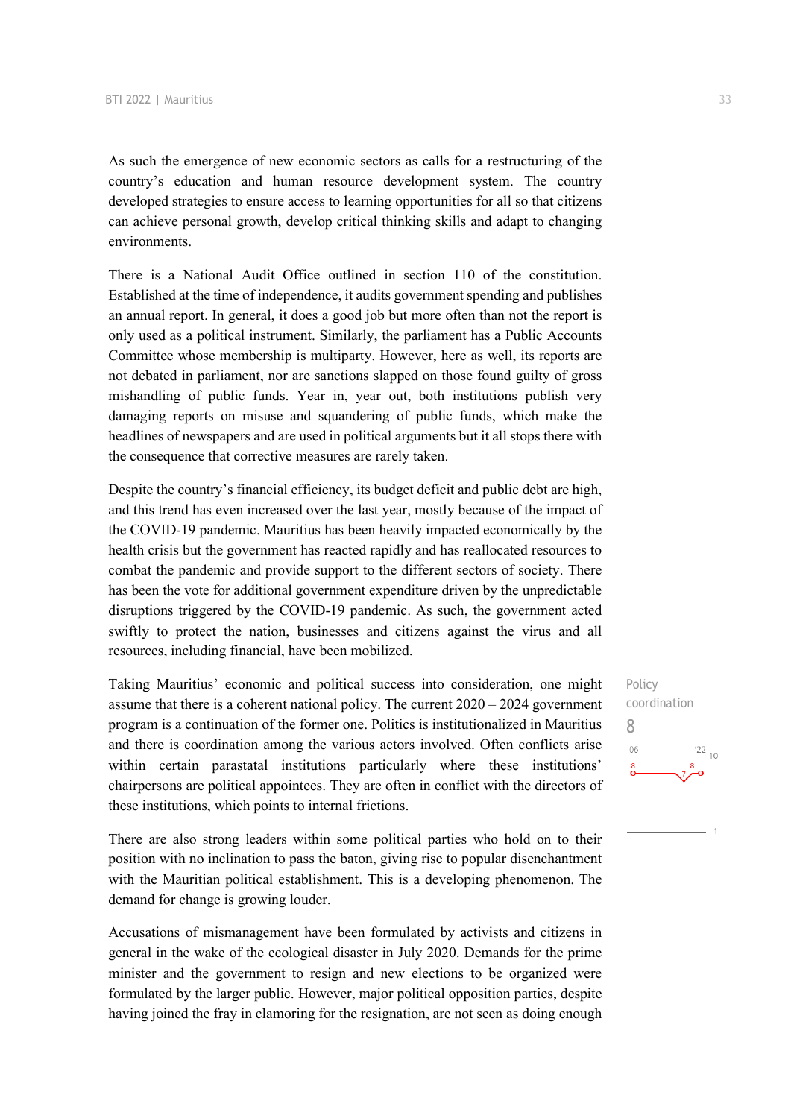As such the emergence of new economic sectors as calls for a restructuring of the country's education and human resource development system. The country developed strategies to ensure access to learning opportunities for all so that citizens can achieve personal growth, develop critical thinking skills and adapt to changing environments.

There is a National Audit Office outlined in section 110 of the constitution. Established at the time of independence, it audits government spending and publishes an annual report. In general, it does a good job but more often than not the report is only used as a political instrument. Similarly, the parliament has a Public Accounts Committee whose membership is multiparty. However, here as well, its reports are not debated in parliament, nor are sanctions slapped on those found guilty of gross mishandling of public funds. Year in, year out, both institutions publish very damaging reports on misuse and squandering of public funds, which make the headlines of newspapers and are used in political arguments but it all stops there with the consequence that corrective measures are rarely taken.

Despite the country's financial efficiency, its budget deficit and public debt are high, and this trend has even increased over the last year, mostly because of the impact of the COVID-19 pandemic. Mauritius has been heavily impacted economically by the health crisis but the government has reacted rapidly and has reallocated resources to combat the pandemic and provide support to the different sectors of society. There has been the vote for additional government expenditure driven by the unpredictable disruptions triggered by the COVID-19 pandemic. As such, the government acted swiftly to protect the nation, businesses and citizens against the virus and all resources, including financial, have been mobilized.

Taking Mauritius' economic and political success into consideration, one might assume that there is a coherent national policy. The current 2020 – 2024 government program is a continuation of the former one. Politics is institutionalized in Mauritius and there is coordination among the various actors involved. Often conflicts arise within certain parastatal institutions particularly where these institutions' chairpersons are political appointees. They are often in conflict with the directors of these institutions, which points to internal frictions.

There are also strong leaders within some political parties who hold on to their position with no inclination to pass the baton, giving rise to popular disenchantment with the Mauritian political establishment. This is a developing phenomenon. The demand for change is growing louder.

Accusations of mismanagement have been formulated by activists and citizens in general in the wake of the ecological disaster in July 2020. Demands for the prime minister and the government to resign and new elections to be organized were formulated by the larger public. However, major political opposition parties, despite having joined the fray in clamoring for the resignation, are not seen as doing enough

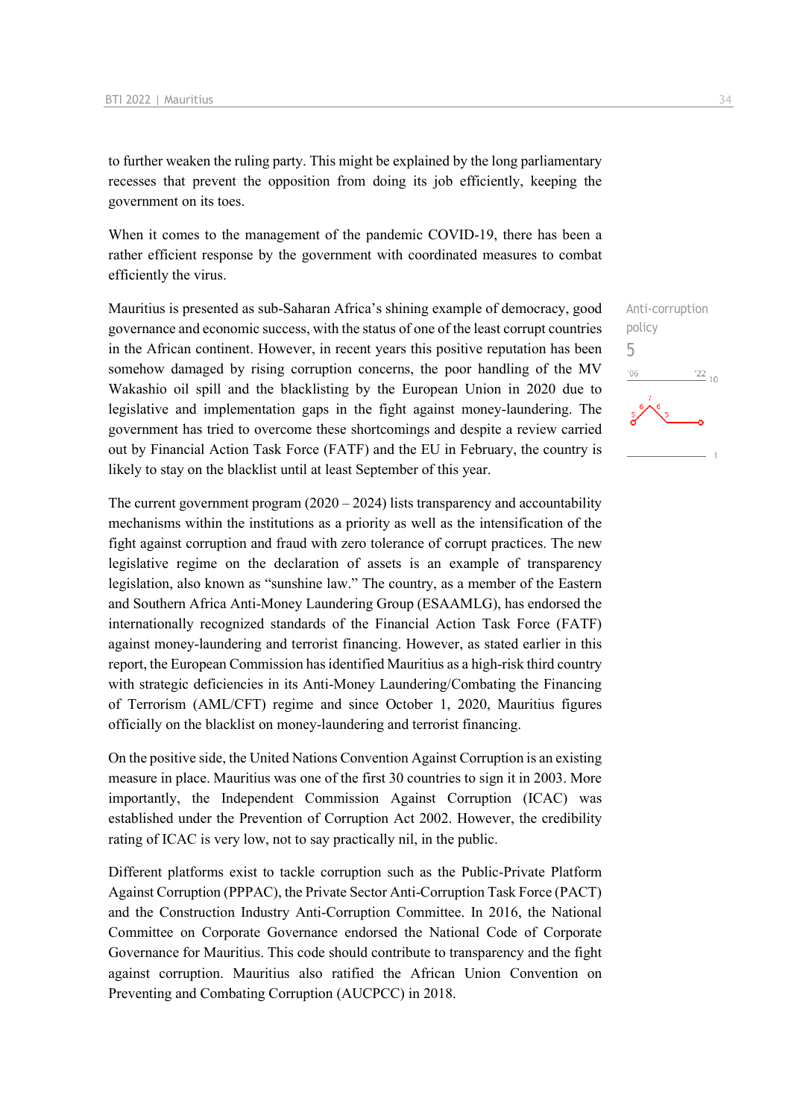to further weaken the ruling party. This might be explained by the long parliamentary recesses that prevent the opposition from doing its job efficiently, keeping the government on its toes.

When it comes to the management of the pandemic COVID-19, there has been a rather efficient response by the government with coordinated measures to combat efficiently the virus.

Mauritius is presented as sub-Saharan Africa's shining example of democracy, good governance and economic success, with the status of one of the least corrupt countries in the African continent. However, in recent years this positive reputation has been somehow damaged by rising corruption concerns, the poor handling of the MV Wakashio oil spill and the blacklisting by the European Union in 2020 due to legislative and implementation gaps in the fight against money-laundering. The government has tried to overcome these shortcomings and despite a review carried out by Financial Action Task Force (FATF) and the EU in February, the country is likely to stay on the blacklist until at least September of this year.

The current government program  $(2020 - 2024)$  lists transparency and accountability mechanisms within the institutions as a priority as well as the intensification of the fight against corruption and fraud with zero tolerance of corrupt practices. The new legislative regime on the declaration of assets is an example of transparency legislation, also known as "sunshine law." The country, as a member of the Eastern and Southern Africa Anti-Money Laundering Group (ESAAMLG), has endorsed the internationally recognized standards of the Financial Action Task Force (FATF) against money-laundering and terrorist financing. However, as stated earlier in this report, the European Commission has identified Mauritius as a high-risk third country with strategic deficiencies in its Anti-Money Laundering/Combating the Financing of Terrorism (AML/CFT) regime and since October 1, 2020, Mauritius figures officially on the blacklist on money-laundering and terrorist financing.

On the positive side, the United Nations Convention Against Corruption is an existing measure in place. Mauritius was one of the first 30 countries to sign it in 2003. More importantly, the Independent Commission Against Corruption (ICAC) was established under the Prevention of Corruption Act 2002. However, the credibility rating of ICAC is very low, not to say practically nil, in the public.

Different platforms exist to tackle corruption such as the Public-Private Platform Against Corruption (PPPAC), the Private Sector Anti-Corruption Task Force (PACT) and the Construction Industry Anti-Corruption Committee. In 2016, the National Committee on Corporate Governance endorsed the National Code of Corporate Governance for Mauritius. This code should contribute to transparency and the fight against corruption. Mauritius also ratified the African Union Convention on Preventing and Combating Corruption (AUCPCC) in 2018.

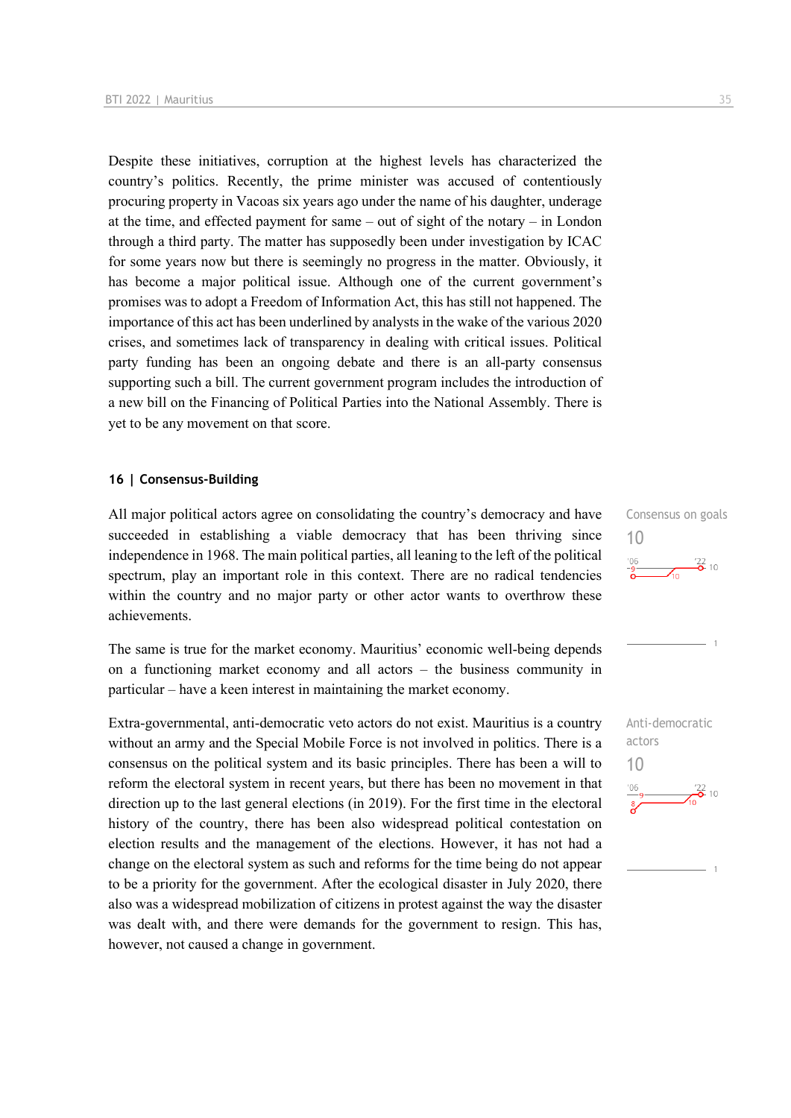Despite these initiatives, corruption at the highest levels has characterized the country's politics. Recently, the prime minister was accused of contentiously procuring property in Vacoas six years ago under the name of his daughter, underage at the time, and effected payment for same – out of sight of the notary – in London through a third party. The matter has supposedly been under investigation by ICAC for some years now but there is seemingly no progress in the matter. Obviously, it has become a major political issue. Although one of the current government's promises was to adopt a Freedom of Information Act, this has still not happened. The importance of this act has been underlined by analysts in the wake of the various 2020 crises, and sometimes lack of transparency in dealing with critical issues. Political party funding has been an ongoing debate and there is an all-party consensus supporting such a bill. The current government program includes the introduction of a new bill on the Financing of Political Parties into the National Assembly. There is yet to be any movement on that score.

#### **16 | Consensus-Building**

All major political actors agree on consolidating the country's democracy and have succeeded in establishing a viable democracy that has been thriving since independence in 1968. The main political parties, all leaning to the left of the political spectrum, play an important role in this context. There are no radical tendencies within the country and no major party or other actor wants to overthrow these achievements.

The same is true for the market economy. Mauritius' economic well-being depends on a functioning market economy and all actors – the business community in particular – have a keen interest in maintaining the market economy.

Extra-governmental, anti-democratic veto actors do not exist. Mauritius is a country without an army and the Special Mobile Force is not involved in politics. There is a consensus on the political system and its basic principles. There has been a will to reform the electoral system in recent years, but there has been no movement in that direction up to the last general elections (in 2019). For the first time in the electoral history of the country, there has been also widespread political contestation on election results and the management of the elections. However, it has not had a change on the electoral system as such and reforms for the time being do not appear to be a priority for the government. After the ecological disaster in July 2020, there also was a widespread mobilization of citizens in protest against the way the disaster was dealt with, and there were demands for the government to resign. This has, however, not caused a change in government.

Consensus on goals

 $\frac{106}{-9}$   $\frac{22}{0}$  10

10

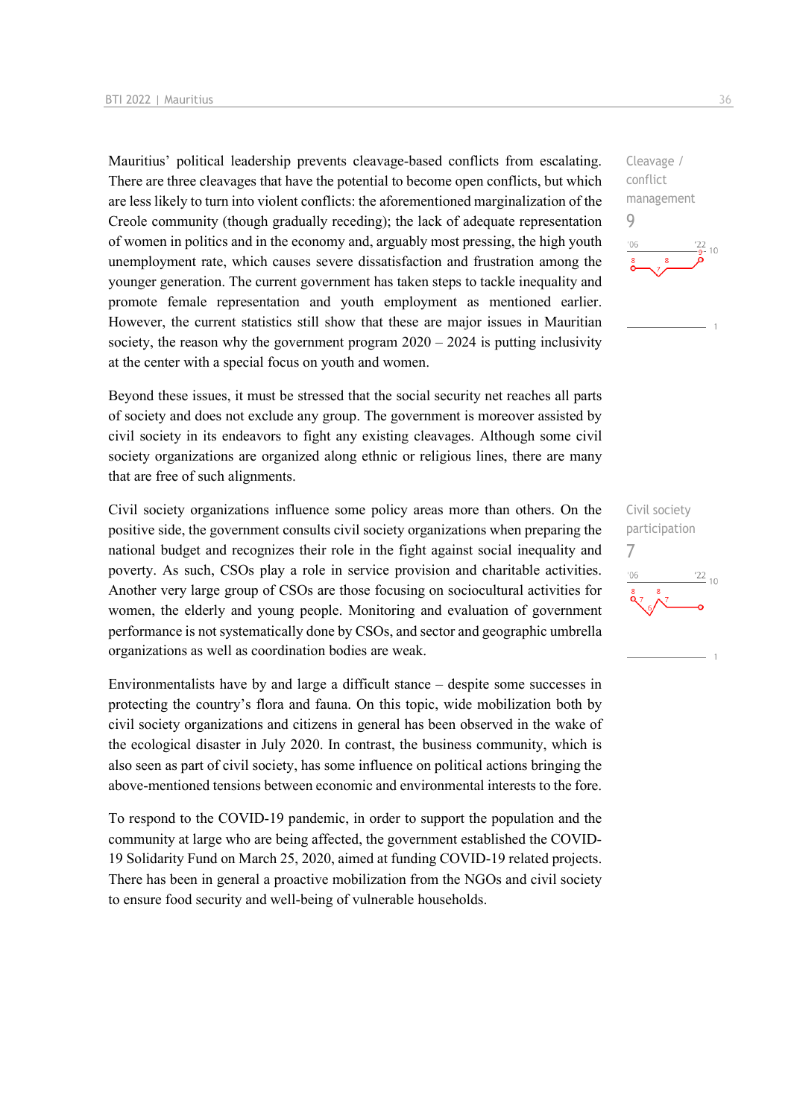Mauritius' political leadership prevents cleavage-based conflicts from escalating. There are three cleavages that have the potential to become open conflicts, but which are less likely to turn into violent conflicts: the aforementioned marginalization of the Creole community (though gradually receding); the lack of adequate representation of women in politics and in the economy and, arguably most pressing, the high youth unemployment rate, which causes severe dissatisfaction and frustration among the younger generation. The current government has taken steps to tackle inequality and promote female representation and youth employment as mentioned earlier. However, the current statistics still show that these are major issues in Mauritian society, the reason why the government program  $2020 - 2024$  is putting inclusivity at the center with a special focus on youth and women.

Beyond these issues, it must be stressed that the social security net reaches all parts of society and does not exclude any group. The government is moreover assisted by civil society in its endeavors to fight any existing cleavages. Although some civil society organizations are organized along ethnic or religious lines, there are many that are free of such alignments.

Civil society organizations influence some policy areas more than others. On the positive side, the government consults civil society organizations when preparing the national budget and recognizes their role in the fight against social inequality and poverty. As such, CSOs play a role in service provision and charitable activities. Another very large group of CSOs are those focusing on sociocultural activities for women, the elderly and young people. Monitoring and evaluation of government performance is not systematically done by CSOs, and sector and geographic umbrella organizations as well as coordination bodies are weak.

Environmentalists have by and large a difficult stance – despite some successes in protecting the country's flora and fauna. On this topic, wide mobilization both by civil society organizations and citizens in general has been observed in the wake of the ecological disaster in July 2020. In contrast, the business community, which is also seen as part of civil society, has some influence on political actions bringing the above-mentioned tensions between economic and environmental interests to the fore.

To respond to the COVID-19 pandemic, in order to support the population and the community at large who are being affected, the government established the COVID-19 Solidarity Fund on March 25, 2020, aimed at funding COVID-19 related projects. There has been in general a proactive mobilization from the NGOs and civil society to ensure food security and well-being of vulnerable households.

Cleavage / conflict management 9  $106$  $10$ 

Civil society participation 7 $\frac{22}{10}$  $-06$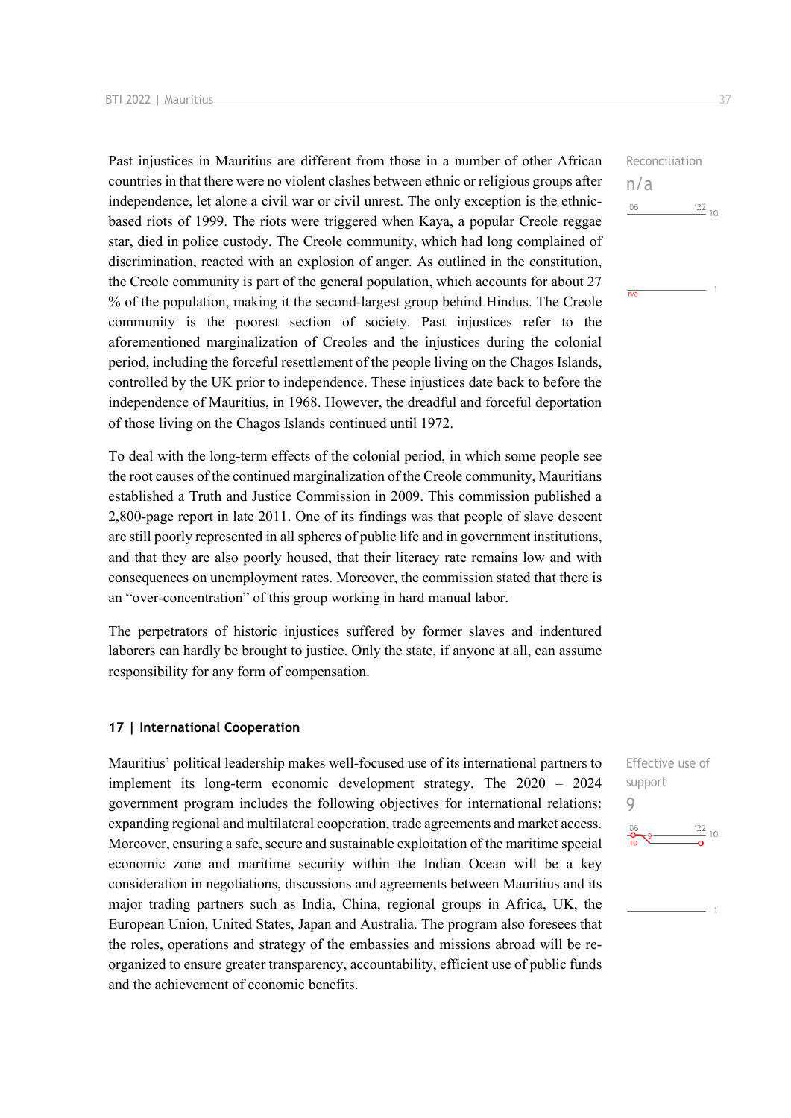Past injustices in Mauritius are different from those in a number of other African countries in that there were no violent clashes between ethnic or religious groups after independence, let alone a civil war or civil unrest. The only exception is the ethnicbased riots of 1999. The riots were triggered when Kaya, a popular Creole reggae star, died in police custody. The Creole community, which had long complained of discrimination, reacted with an explosion of anger. As outlined in the constitution, the Creole community is part of the general population, which accounts for about 27 % of the population, making it the second-largest group behind Hindus. The Creole community is the poorest section of society. Past injustices refer to the aforementioned marginalization of Creoles and the injustices during the colonial period, including the forceful resettlement of the people living on the Chagos Islands, controlled by the UK prior to independence. These injustices date back to before the independence of Mauritius, in 1968. However, the dreadful and forceful deportation of those living on the Chagos Islands continued until 1972.

To deal with the long-term effects of the colonial period, in which some people see the root causes of the continued marginalization of the Creole community, Mauritians established a Truth and Justice Commission in 2009. This commission published a 2,800-page report in late 2011. One of its findings was that people of slave descent are still poorly represented in all spheres of public life and in government institutions, and that they are also poorly housed, that their literacy rate remains low and with consequences on unemployment rates. Moreover, the commission stated that there is an "over-concentration" of this group working in hard manual labor.

The perpetrators of historic injustices suffered by former slaves and indentured laborers can hardly be brought to justice. Only the state, if anyone at all, can assume responsibility for any form of compensation.

#### **17 | International Cooperation**

Mauritius' political leadership makes well-focused use of its international partners to implement its long-term economic development strategy. The 2020 – 2024 government program includes the following objectives for international relations: expanding regional and multilateral cooperation, trade agreements and market access. Moreover, ensuring a safe, secure and sustainable exploitation of the maritime special economic zone and maritime security within the Indian Ocean will be a key consideration in negotiations, discussions and agreements between Mauritius and its major trading partners such as India, China, regional groups in Africa, UK, the European Union, United States, Japan and Australia. The program also foresees that the roles, operations and strategy of the embassies and missions abroad will be reorganized to ensure greater transparency, accountability, efficient use of public funds and the achievement of economic benefits.

Reconciliation n/a  $'06$  $^{22}$  10

 $n/a$ 

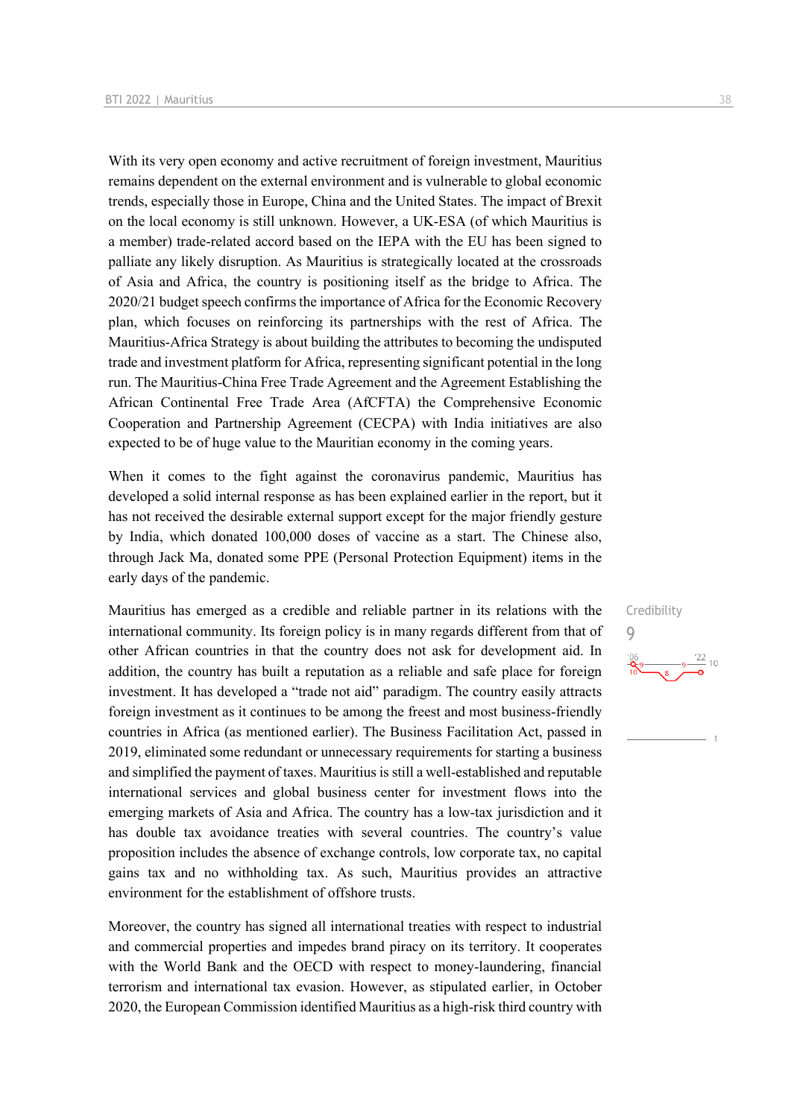With its very open economy and active recruitment of foreign investment, Mauritius remains dependent on the external environment and is vulnerable to global economic trends, especially those in Europe, China and the United States. The impact of Brexit on the local economy is still unknown. However, a UK-ESA (of which Mauritius is a member) trade-related accord based on the IEPA with the EU has been signed to palliate any likely disruption. As Mauritius is strategically located at the crossroads of Asia and Africa, the country is positioning itself as the bridge to Africa. The 2020/21 budget speech confirms the importance of Africa for the Economic Recovery plan, which focuses on reinforcing its partnerships with the rest of Africa. The Mauritius-Africa Strategy is about building the attributes to becoming the undisputed trade and investment platform for Africa, representing significant potential in the long run. The Mauritius-China Free Trade Agreement and the Agreement Establishing the African Continental Free Trade Area (AfCFTA) the Comprehensive Economic Cooperation and Partnership Agreement (CECPA) with India initiatives are also expected to be of huge value to the Mauritian economy in the coming years.

When it comes to the fight against the coronavirus pandemic, Mauritius has developed a solid internal response as has been explained earlier in the report, but it has not received the desirable external support except for the major friendly gesture by India, which donated 100,000 doses of vaccine as a start. The Chinese also, through Jack Ma, donated some PPE (Personal Protection Equipment) items in the early days of the pandemic.

Mauritius has emerged as a credible and reliable partner in its relations with the international community. Its foreign policy is in many regards different from that of other African countries in that the country does not ask for development aid. In addition, the country has built a reputation as a reliable and safe place for foreign investment. It has developed a "trade not aid" paradigm. The country easily attracts foreign investment as it continues to be among the freest and most business-friendly countries in Africa (as mentioned earlier). The Business Facilitation Act, passed in 2019, eliminated some redundant or unnecessary requirements for starting a business and simplified the payment of taxes. Mauritius is still a well-established and reputable international services and global business center for investment flows into the emerging markets of Asia and Africa. The country has a low-tax jurisdiction and it has double tax avoidance treaties with several countries. The country's value proposition includes the absence of exchange controls, low corporate tax, no capital gains tax and no withholding tax. As such, Mauritius provides an attractive environment for the establishment of offshore trusts.

Moreover, the country has signed all international treaties with respect to industrial and commercial properties and impedes brand piracy on its territory. It cooperates with the World Bank and the OECD with respect to money-laundering, financial terrorism and international tax evasion. However, as stipulated earlier, in October 2020, the European Commission identified Mauritius as a high-risk third country with

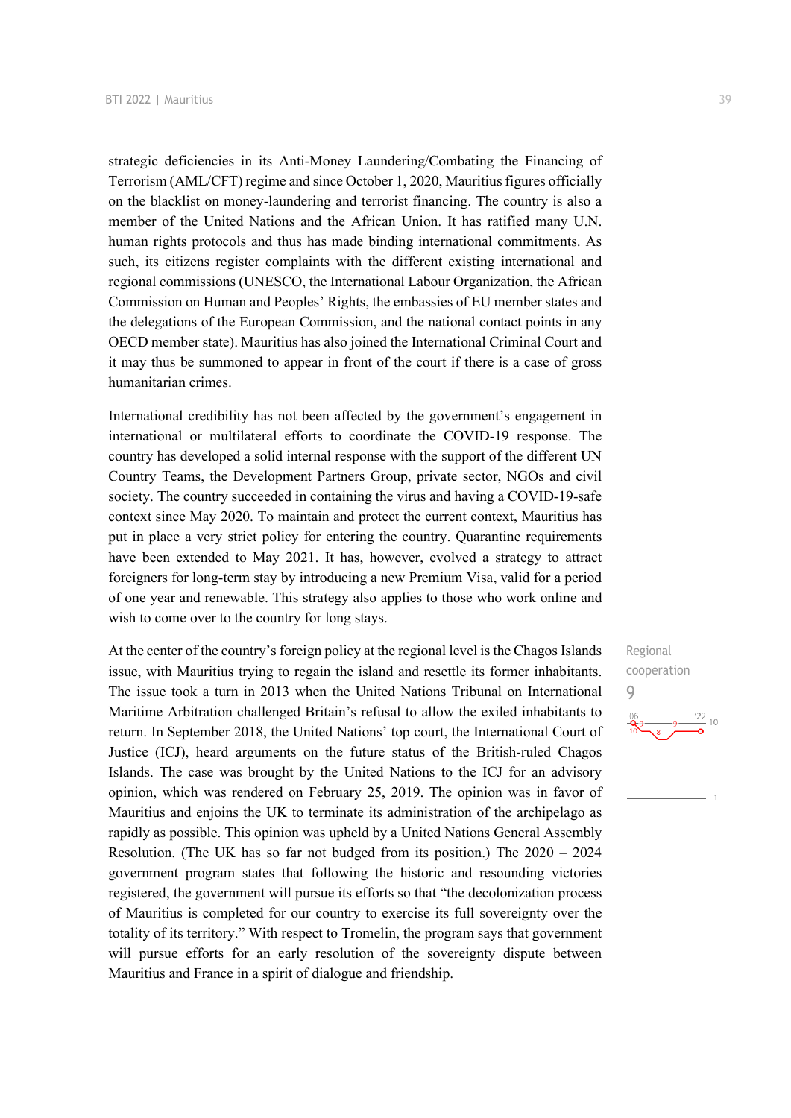strategic deficiencies in its Anti-Money Laundering/Combating the Financing of Terrorism (AML/CFT) regime and since October 1, 2020, Mauritius figures officially on the blacklist on money-laundering and terrorist financing. The country is also a member of the United Nations and the African Union. It has ratified many U.N. human rights protocols and thus has made binding international commitments. As such, its citizens register complaints with the different existing international and regional commissions (UNESCO, the International Labour Organization, the African Commission on Human and Peoples' Rights, the embassies of EU member states and the delegations of the European Commission, and the national contact points in any OECD member state). Mauritius has also joined the International Criminal Court and it may thus be summoned to appear in front of the court if there is a case of gross humanitarian crimes.

International credibility has not been affected by the government's engagement in international or multilateral efforts to coordinate the COVID-19 response. The country has developed a solid internal response with the support of the different UN Country Teams, the Development Partners Group, private sector, NGOs and civil society. The country succeeded in containing the virus and having a COVID-19-safe context since May 2020. To maintain and protect the current context, Mauritius has put in place a very strict policy for entering the country. Quarantine requirements have been extended to May 2021. It has, however, evolved a strategy to attract foreigners for long-term stay by introducing a new Premium Visa, valid for a period of one year and renewable. This strategy also applies to those who work online and wish to come over to the country for long stays.

At the center of the country's foreign policy at the regional level is the Chagos Islands issue, with Mauritius trying to regain the island and resettle its former inhabitants. The issue took a turn in 2013 when the United Nations Tribunal on International Maritime Arbitration challenged Britain's refusal to allow the exiled inhabitants to return. In September 2018, the United Nations' top court, the International Court of Justice (ICJ), heard arguments on the future status of the British-ruled Chagos Islands. The case was brought by the United Nations to the ICJ for an advisory opinion, which was rendered on February 25, 2019. The opinion was in favor of Mauritius and enjoins the UK to terminate its administration of the archipelago as rapidly as possible. This opinion was upheld by a United Nations General Assembly Resolution. (The UK has so far not budged from its position.) The 2020 – 2024 government program states that following the historic and resounding victories registered, the government will pursue its efforts so that "the decolonization process of Mauritius is completed for our country to exercise its full sovereignty over the totality of its territory." With respect to Tromelin, the program says that government will pursue efforts for an early resolution of the sovereignty dispute between Mauritius and France in a spirit of dialogue and friendship.

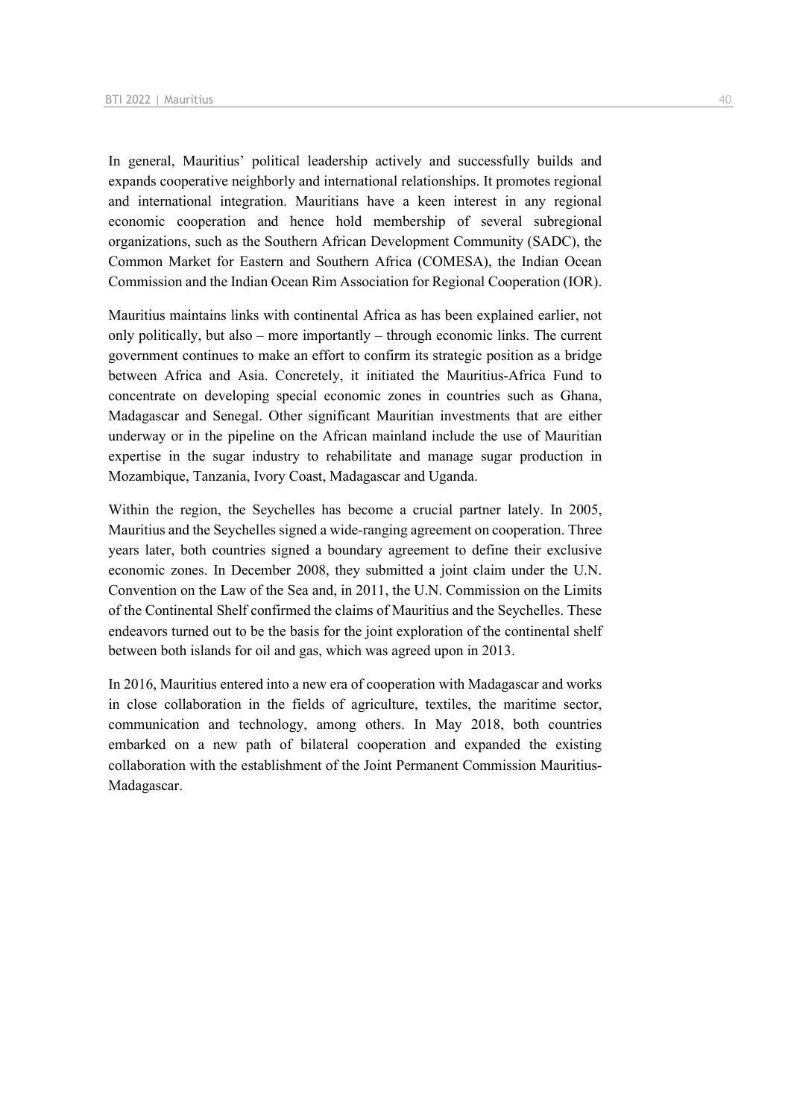In general, Mauritius' political leadership actively and successfully builds and expands cooperative neighborly and international relationships. It promotes regional and international integration. Mauritians have a keen interest in any regional economic cooperation and hence hold membership of several subregional organizations, such as the Southern African Development Community (SADC), the Common Market for Eastern and Southern Africa (COMESA), the Indian Ocean Commission and the Indian Ocean Rim Association for Regional Cooperation (IOR).

Mauritius maintains links with continental Africa as has been explained earlier, not only politically, but also – more importantly – through economic links. The current government continues to make an effort to confirm its strategic position as a bridge between Africa and Asia. Concretely, it initiated the Mauritius-Africa Fund to concentrate on developing special economic zones in countries such as Ghana, Madagascar and Senegal. Other significant Mauritian investments that are either underway or in the pipeline on the African mainland include the use of Mauritian expertise in the sugar industry to rehabilitate and manage sugar production in Mozambique, Tanzania, Ivory Coast, Madagascar and Uganda.

Within the region, the Seychelles has become a crucial partner lately. In 2005, Mauritius and the Seychelles signed a wide-ranging agreement on cooperation. Three years later, both countries signed a boundary agreement to define their exclusive economic zones. In December 2008, they submitted a joint claim under the U.N. Convention on the Law of the Sea and, in 2011, the U.N. Commission on the Limits of the Continental Shelf confirmed the claims of Mauritius and the Seychelles. These endeavors turned out to be the basis for the joint exploration of the continental shelf between both islands for oil and gas, which was agreed upon in 2013.

In 2016, Mauritius entered into a new era of cooperation with Madagascar and works in close collaboration in the fields of agriculture, textiles, the maritime sector, communication and technology, among others. In May 2018, both countries embarked on a new path of bilateral cooperation and expanded the existing collaboration with the establishment of the Joint Permanent Commission Mauritius-Madagascar.